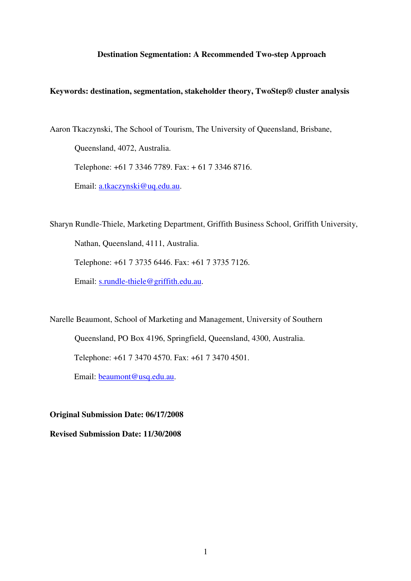## **Destination Segmentation: A Recommended Two-step Approach**

## **Keywords: destination, segmentation, stakeholder theory, TwoStep® cluster analysis**

Aaron Tkaczynski, The School of Tourism, The University of Queensland, Brisbane, Queensland, 4072, Australia. Telephone: +61 7 3346 7789. Fax: + 61 7 3346 8716. Email: [a.tkaczynski@uq.edu.au](mailto:a.tkaczynski@uq.edu.au).

Sharyn Rundle-Thiele, Marketing Department, Griffith Business School, Griffith University, Nathan, Queensland, 4111, Australia.

Telephone: +61 7 3735 6446. Fax: +61 7 3735 7126.

Email: [s.rundle-thiele@griffith.edu.au](mailto:s.rundle-thiele@griffith.edu.au).

Narelle Beaumont, School of Marketing and Management, University of Southern

Queensland, PO Box 4196, Springfield, Queensland, 4300, Australia.

Telephone: +61 7 3470 4570. Fax: +61 7 3470 4501.

Email: [beaumont@usq.edu.au](mailto:beaumont@usq.edu.au).

**Original Submission Date: 06/17/2008 Revised Submission Date: 11/30/2008**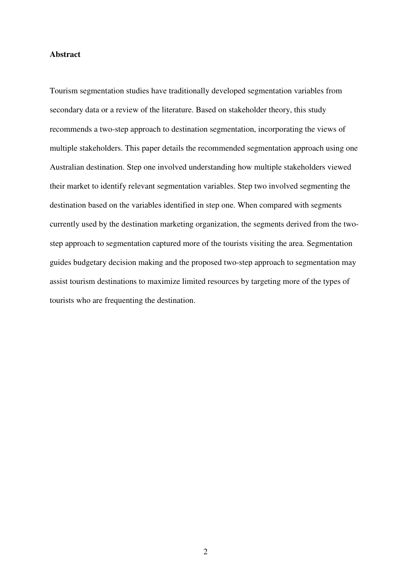## **Abstract**

Tourism segmentation studies have traditionally developed segmentation variables from secondary data or a review of the literature. Based on stakeholder theory, this study recommends a two-step approach to destination segmentation, incorporating the views of multiple stakeholders. This paper details the recommended segmentation approach using one Australian destination. Step one involved understanding how multiple stakeholders viewed their market to identify relevant segmentation variables. Step two involved segmenting the destination based on the variables identified in step one. When compared with segments currently used by the destination marketing organization, the segments derived from the twostep approach to segmentation captured more of the tourists visiting the area. Segmentation guides budgetary decision making and the proposed two-step approach to segmentation may assist tourism destinations to maximize limited resources by targeting more of the types of tourists who are frequenting the destination.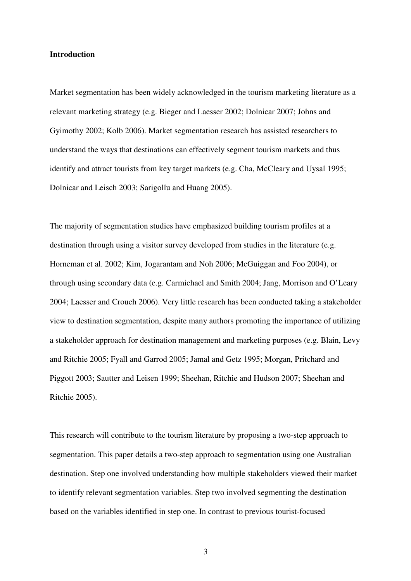## **Introduction**

Market segmentation has been widely acknowledged in the tourism marketing literature as a relevant marketing strategy (e.g. Bieger and Laesser 2002; Dolnicar 2007; Johns and Gyimothy 2002; Kolb 2006). Market segmentation research has assisted researchers to understand the ways that destinations can effectively segment tourism markets and thus identify and attract tourists from key target markets (e.g. Cha, McCleary and Uysal 1995; Dolnicar and Leisch 2003; Sarigollu and Huang 2005).

The majority of segmentation studies have emphasized building tourism profiles at a destination through using a visitor survey developed from studies in the literature (e.g. Horneman et al. 2002; Kim, Jogarantam and Noh 2006; McGuiggan and Foo 2004), or through using secondary data (e.g. Carmichael and Smith 2004; Jang, Morrison and O'Leary 2004; Laesser and Crouch 2006). Very little research has been conducted taking a stakeholder view to destination segmentation, despite many authors promoting the importance of utilizing a stakeholder approach for destination management and marketing purposes (e.g. Blain, Levy and Ritchie 2005; Fyall and Garrod 2005; Jamal and Getz 1995; Morgan, Pritchard and Piggott 2003; Sautter and Leisen 1999; Sheehan, Ritchie and Hudson 2007; Sheehan and Ritchie 2005).

This research will contribute to the tourism literature by proposing a two-step approach to segmentation. This paper details a two-step approach to segmentation using one Australian destination. Step one involved understanding how multiple stakeholders viewed their market to identify relevant segmentation variables. Step two involved segmenting the destination based on the variables identified in step one. In contrast to previous tourist-focused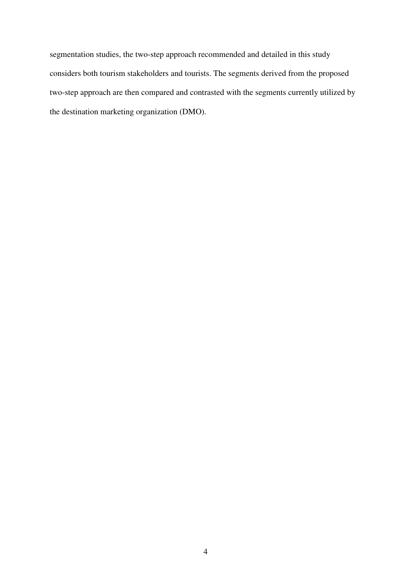segmentation studies, the two-step approach recommended and detailed in this study considers both tourism stakeholders and tourists. The segments derived from the proposed two-step approach are then compared and contrasted with the segments currently utilized by the destination marketing organization (DMO).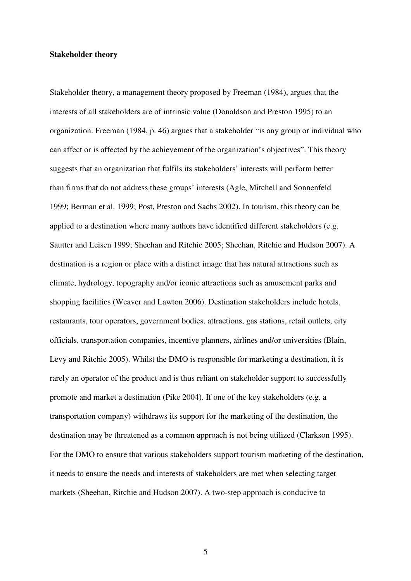### **Stakeholder theory**

Stakeholder theory, a management theory proposed by Freeman (1984), argues that the interests of all stakeholders are of intrinsic value (Donaldson and Preston 1995) to an organization. Freeman (1984, p. 46) argues that a stakeholder "is any group or individual who can affect or is affected by the achievement of the organization's objectives". This theory suggests that an organization that fulfils its stakeholders' interests will perform better than firms that do not address these groups' interests (Agle, Mitchell and Sonnenfeld 1999; Berman et al. 1999; Post, Preston and Sachs 2002). In tourism, this theory can be applied to a destination where many authors have identified different stakeholders (e.g. Sautter and Leisen 1999; Sheehan and Ritchie 2005; Sheehan, Ritchie and Hudson 2007). A destination is a region or place with a distinct image that has natural attractions such as climate, hydrology, topography and/or iconic attractions such as amusement parks and shopping facilities (Weaver and Lawton 2006). Destination stakeholders include hotels, restaurants, tour operators, government bodies, attractions, gas stations, retail outlets, city officials, transportation companies, incentive planners, airlines and/or universities (Blain, Levy and Ritchie 2005). Whilst the DMO is responsible for marketing a destination, it is rarely an operator of the product and is thus reliant on stakeholder support to successfully promote and market a destination (Pike 2004). If one of the key stakeholders (e.g. a transportation company) withdraws its support for the marketing of the destination, the destination may be threatened as a common approach is not being utilized (Clarkson 1995). For the DMO to ensure that various stakeholders support tourism marketing of the destination, it needs to ensure the needs and interests of stakeholders are met when selecting target markets (Sheehan, Ritchie and Hudson 2007). A two-step approach is conducive to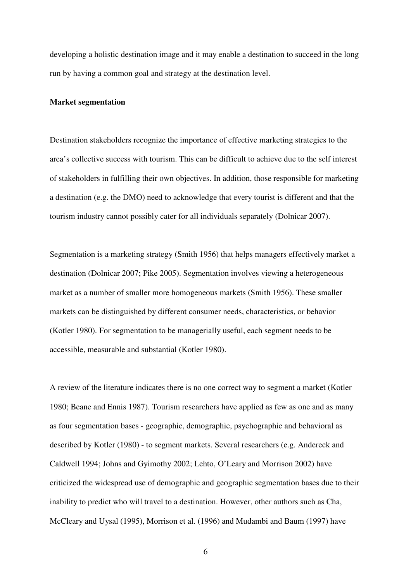developing a holistic destination image and it may enable a destination to succeed in the long run by having a common goal and strategy at the destination level.

## **Market segmentation**

Destination stakeholders recognize the importance of effective marketing strategies to the area's collective success with tourism. This can be difficult to achieve due to the self interest of stakeholders in fulfilling their own objectives. In addition, those responsible for marketing a destination (e.g. the DMO) need to acknowledge that every tourist is different and that the tourism industry cannot possibly cater for all individuals separately (Dolnicar 2007).

Segmentation is a marketing strategy (Smith 1956) that helps managers effectively market a destination (Dolnicar 2007; Pike 2005). Segmentation involves viewing a heterogeneous market as a number of smaller more homogeneous markets (Smith 1956). These smaller markets can be distinguished by different consumer needs, characteristics, or behavior (Kotler 1980). For segmentation to be managerially useful, each segment needs to be accessible, measurable and substantial (Kotler 1980).

A review of the literature indicates there is no one correct way to segment a market (Kotler 1980; Beane and Ennis 1987). Tourism researchers have applied as few as one and as many as four segmentation bases - geographic, demographic, psychographic and behavioral as described by Kotler (1980) - to segment markets. Several researchers (e.g. Andereck and Caldwell 1994; Johns and Gyimothy 2002; Lehto, O'Leary and Morrison 2002) have criticized the widespread use of demographic and geographic segmentation bases due to their inability to predict who will travel to a destination. However, other authors such as Cha, McCleary and Uysal (1995), Morrison et al. (1996) and Mudambi and Baum (1997) have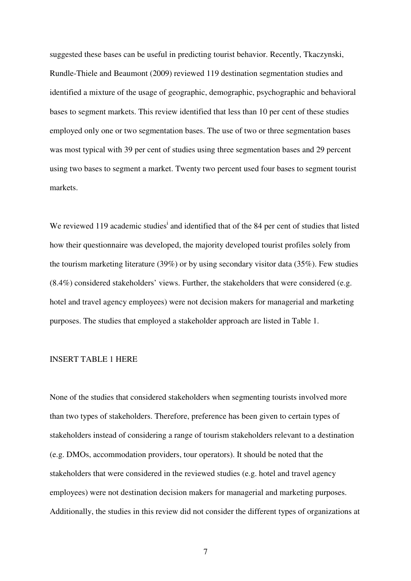suggested these bases can be useful in predicting tourist behavior. Recently, Tkaczynski, Rundle-Thiele and Beaumont (2009) reviewed 119 destination segmentation studies and identified a mixture of the usage of geographic, demographic, psychographic and behavioral bases to segment markets. This review identified that less than 10 per cent of these studies employed only one or two segmentation bases. The use of two or three segmentation bases was most typical with 39 per cent of studies using three segmentation bases and 29 percent using two bases to segment a market. Twenty two percent used four bases to segment tourist markets.

We reviewed 119 academic studies<sup>i</sup> and identified that of the 84 per cent of studies that listed how their questionnaire was developed, the majority developed tourist profiles solely from the tourism marketing literature (39%) or by using secondary visitor data (35%). Few studies (8.4%) considered stakeholders' views. Further, the stakeholders that were considered (e.g. hotel and travel agency employees) were not decision makers for managerial and marketing purposes. The studies that employed a stakeholder approach are listed in Table 1.

## INSERT TABLE 1 HERE

None of the studies that considered stakeholders when segmenting tourists involved more than two types of stakeholders. Therefore, preference has been given to certain types of stakeholders instead of considering a range of tourism stakeholders relevant to a destination (e.g. DMOs, accommodation providers, tour operators). It should be noted that the stakeholders that were considered in the reviewed studies (e.g. hotel and travel agency employees) were not destination decision makers for managerial and marketing purposes. Additionally, the studies in this review did not consider the different types of organizations at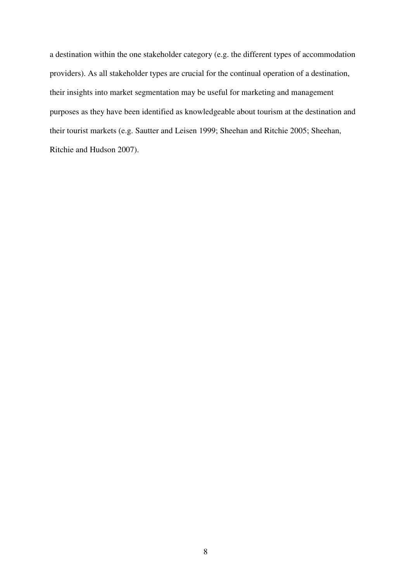a destination within the one stakeholder category (e.g. the different types of accommodation providers). As all stakeholder types are crucial for the continual operation of a destination, their insights into market segmentation may be useful for marketing and management purposes as they have been identified as knowledgeable about tourism at the destination and their tourist markets (e.g. Sautter and Leisen 1999; Sheehan and Ritchie 2005; Sheehan, Ritchie and Hudson 2007).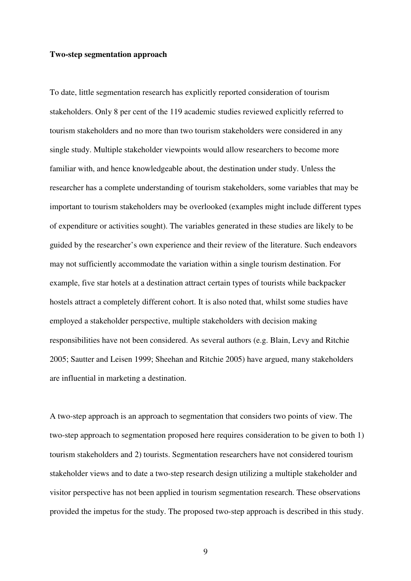## **Two-step segmentation approach**

To date, little segmentation research has explicitly reported consideration of tourism stakeholders. Only 8 per cent of the 119 academic studies reviewed explicitly referred to tourism stakeholders and no more than two tourism stakeholders were considered in any single study. Multiple stakeholder viewpoints would allow researchers to become more familiar with, and hence knowledgeable about, the destination under study. Unless the researcher has a complete understanding of tourism stakeholders, some variables that may be important to tourism stakeholders may be overlooked (examples might include different types of expenditure or activities sought). The variables generated in these studies are likely to be guided by the researcher's own experience and their review of the literature. Such endeavors may not sufficiently accommodate the variation within a single tourism destination. For example, five star hotels at a destination attract certain types of tourists while backpacker hostels attract a completely different cohort. It is also noted that, whilst some studies have employed a stakeholder perspective, multiple stakeholders with decision making responsibilities have not been considered. As several authors (e.g. Blain, Levy and Ritchie 2005; Sautter and Leisen 1999; Sheehan and Ritchie 2005) have argued, many stakeholders are influential in marketing a destination.

A two-step approach is an approach to segmentation that considers two points of view. The two-step approach to segmentation proposed here requires consideration to be given to both 1) tourism stakeholders and 2) tourists. Segmentation researchers have not considered tourism stakeholder views and to date a two-step research design utilizing a multiple stakeholder and visitor perspective has not been applied in tourism segmentation research. These observations provided the impetus for the study. The proposed two-step approach is described in this study.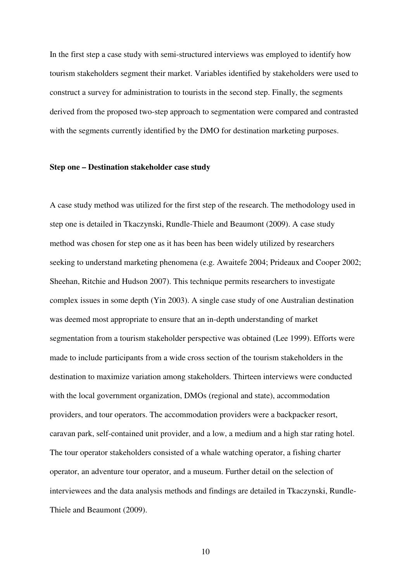In the first step a case study with semi-structured interviews was employed to identify how tourism stakeholders segment their market. Variables identified by stakeholders were used to construct a survey for administration to tourists in the second step. Finally, the segments derived from the proposed two-step approach to segmentation were compared and contrasted with the segments currently identified by the DMO for destination marketing purposes.

## **Step one – Destination stakeholder case study**

A case study method was utilized for the first step of the research. The methodology used in step one is detailed in Tkaczynski, Rundle-Thiele and Beaumont (2009). A case study method was chosen for step one as it has been has been widely utilized by researchers seeking to understand marketing phenomena (e.g. Awaitefe 2004; Prideaux and Cooper 2002; Sheehan, Ritchie and Hudson 2007). This technique permits researchers to investigate complex issues in some depth (Yin 2003). A single case study of one Australian destination was deemed most appropriate to ensure that an in-depth understanding of market segmentation from a tourism stakeholder perspective was obtained (Lee 1999). Efforts were made to include participants from a wide cross section of the tourism stakeholders in the destination to maximize variation among stakeholders. Thirteen interviews were conducted with the local government organization, DMOs (regional and state), accommodation providers, and tour operators. The accommodation providers were a backpacker resort, caravan park, self-contained unit provider, and a low, a medium and a high star rating hotel. The tour operator stakeholders consisted of a whale watching operator, a fishing charter operator, an adventure tour operator, and a museum. Further detail on the selection of interviewees and the data analysis methods and findings are detailed in Tkaczynski, Rundle-Thiele and Beaumont (2009).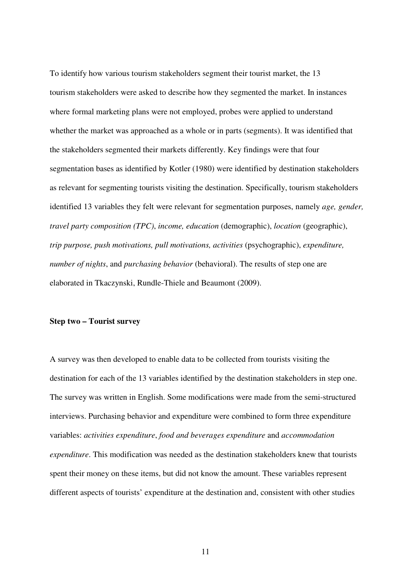To identify how various tourism stakeholders segment their tourist market, the 13 tourism stakeholders were asked to describe how they segmented the market. In instances where formal marketing plans were not employed, probes were applied to understand whether the market was approached as a whole or in parts (segments). It was identified that the stakeholders segmented their markets differently. Key findings were that four segmentation bases as identified by Kotler (1980) were identified by destination stakeholders as relevant for segmenting tourists visiting the destination. Specifically, tourism stakeholders identified 13 variables they felt were relevant for segmentation purposes, namely *age, gender, travel party composition (TPC)*, *income, education* (demographic), *location* (geographic), *trip purpose, push motivations, pull motivations, activities* (psychographic), *expenditure, number of nights*, and *purchasing behavior* (behavioral). The results of step one are elaborated in Tkaczynski, Rundle-Thiele and Beaumont (2009).

## **Step two – Tourist survey**

A survey was then developed to enable data to be collected from tourists visiting the destination for each of the 13 variables identified by the destination stakeholders in step one. The survey was written in English. Some modifications were made from the semi-structured interviews. Purchasing behavior and expenditure were combined to form three expenditure variables: *activities expenditure*, *food and beverages expenditure* and *accommodation expenditure*. This modification was needed as the destination stakeholders knew that tourists spent their money on these items, but did not know the amount. These variables represent different aspects of tourists' expenditure at the destination and, consistent with other studies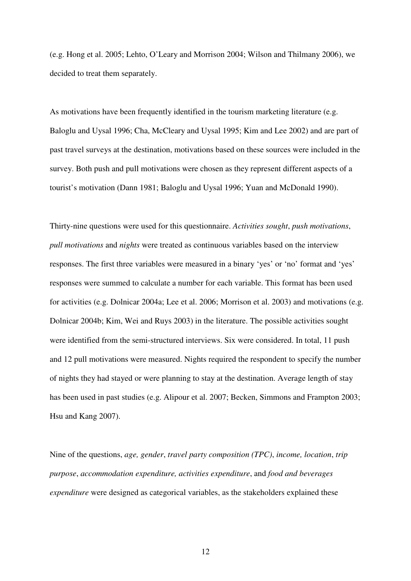(e.g. Hong et al. 2005; Lehto, O'Leary and Morrison 2004; Wilson and Thilmany 2006), we decided to treat them separately.

As motivations have been frequently identified in the tourism marketing literature (e.g. Baloglu and Uysal 1996; Cha, McCleary and Uysal 1995; Kim and Lee 2002) and are part of past travel surveys at the destination, motivations based on these sources were included in the survey. Both push and pull motivations were chosen as they represent different aspects of a tourist's motivation (Dann 1981; Baloglu and Uysal 1996; Yuan and McDonald 1990).

Thirty-nine questions were used for this questionnaire. *Activities sought*, *push motivations*, *pull motivations* and *nights* were treated as continuous variables based on the interview responses. The first three variables were measured in a binary 'yes' or 'no' format and 'yes' responses were summed to calculate a number for each variable. This format has been used for activities (e.g. Dolnicar 2004a; Lee et al. 2006; Morrison et al. 2003) and motivations (e.g. Dolnicar 2004b; Kim, Wei and Ruys 2003) in the literature. The possible activities sought were identified from the semi-structured interviews. Six were considered. In total, 11 push and 12 pull motivations were measured. Nights required the respondent to specify the number of nights they had stayed or were planning to stay at the destination. Average length of stay has been used in past studies (e.g. Alipour et al. 2007; Becken, Simmons and Frampton 2003; Hsu and Kang 2007).

Nine of the questions, *age, gender*, *travel party composition (TPC)*, *income, location*, *trip purpose*, *accommodation expenditure, activities expenditure*, and *food and beverages expenditure* were designed as categorical variables, as the stakeholders explained these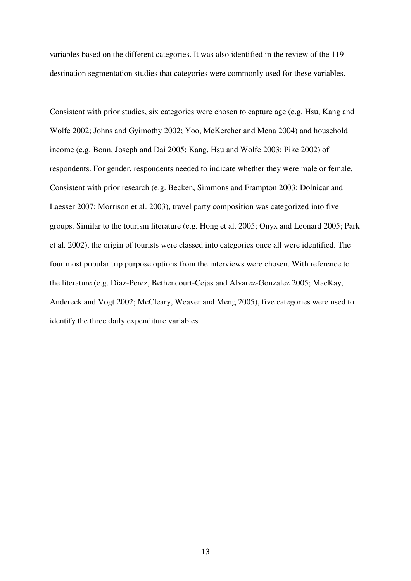variables based on the different categories. It was also identified in the review of the 119 destination segmentation studies that categories were commonly used for these variables.

Consistent with prior studies, six categories were chosen to capture age (e.g. Hsu, Kang and Wolfe 2002; Johns and Gyimothy 2002; Yoo, McKercher and Mena 2004) and household income (e.g. Bonn, Joseph and Dai 2005; Kang, Hsu and Wolfe 2003; Pike 2002) of respondents. For gender, respondents needed to indicate whether they were male or female. Consistent with prior research (e.g. Becken, Simmons and Frampton 2003; Dolnicar and Laesser 2007; Morrison et al. 2003), travel party composition was categorized into five groups. Similar to the tourism literature (e.g. Hong et al. 2005; Onyx and Leonard 2005; Park et al. 2002), the origin of tourists were classed into categories once all were identified. The four most popular trip purpose options from the interviews were chosen. With reference to the literature (e.g. Diaz-Perez, Bethencourt-Cejas and Alvarez-Gonzalez 2005; MacKay, Andereck and Vogt 2002; McCleary, Weaver and Meng 2005), five categories were used to identify the three daily expenditure variables.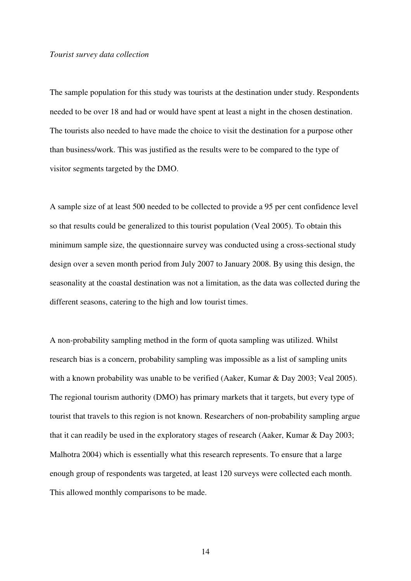### *Tourist survey data collection*

The sample population for this study was tourists at the destination under study. Respondents needed to be over 18 and had or would have spent at least a night in the chosen destination. The tourists also needed to have made the choice to visit the destination for a purpose other than business/work. This was justified as the results were to be compared to the type of visitor segments targeted by the DMO.

A sample size of at least 500 needed to be collected to provide a 95 per cent confidence level so that results could be generalized to this tourist population (Veal 2005). To obtain this minimum sample size, the questionnaire survey was conducted using a cross-sectional study design over a seven month period from July 2007 to January 2008. By using this design, the seasonality at the coastal destination was not a limitation, as the data was collected during the different seasons, catering to the high and low tourist times.

A non-probability sampling method in the form of quota sampling was utilized. Whilst research bias is a concern, probability sampling was impossible as a list of sampling units with a known probability was unable to be verified (Aaker, Kumar & Day 2003; Veal 2005). The regional tourism authority (DMO) has primary markets that it targets, but every type of tourist that travels to this region is not known. Researchers of non-probability sampling argue that it can readily be used in the exploratory stages of research (Aaker, Kumar & Day 2003; Malhotra 2004) which is essentially what this research represents. To ensure that a large enough group of respondents was targeted, at least 120 surveys were collected each month. This allowed monthly comparisons to be made.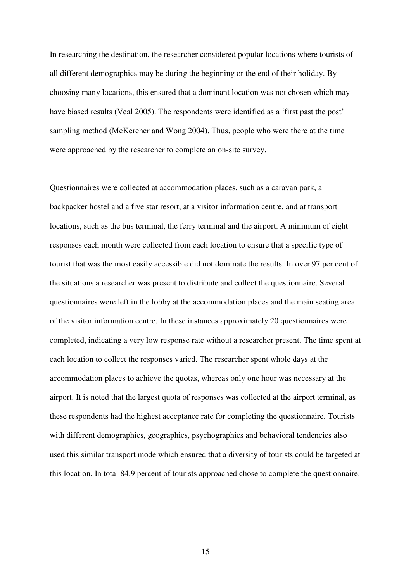In researching the destination, the researcher considered popular locations where tourists of all different demographics may be during the beginning or the end of their holiday. By choosing many locations, this ensured that a dominant location was not chosen which may have biased results (Veal 2005). The respondents were identified as a 'first past the post' sampling method (McKercher and Wong 2004). Thus, people who were there at the time were approached by the researcher to complete an on-site survey.

Questionnaires were collected at accommodation places, such as a caravan park, a backpacker hostel and a five star resort, at a visitor information centre, and at transport locations, such as the bus terminal, the ferry terminal and the airport. A minimum of eight responses each month were collected from each location to ensure that a specific type of tourist that was the most easily accessible did not dominate the results. In over 97 per cent of the situations a researcher was present to distribute and collect the questionnaire. Several questionnaires were left in the lobby at the accommodation places and the main seating area of the visitor information centre. In these instances approximately 20 questionnaires were completed, indicating a very low response rate without a researcher present. The time spent at each location to collect the responses varied. The researcher spent whole days at the accommodation places to achieve the quotas, whereas only one hour was necessary at the airport. It is noted that the largest quota of responses was collected at the airport terminal, as these respondents had the highest acceptance rate for completing the questionnaire. Tourists with different demographics, geographics, psychographics and behavioral tendencies also used this similar transport mode which ensured that a diversity of tourists could be targeted at this location. In total 84.9 percent of tourists approached chose to complete the questionnaire.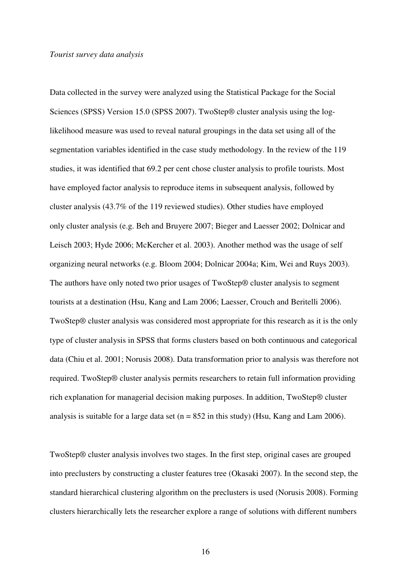### *Tourist survey data analysis*

Data collected in the survey were analyzed using the Statistical Package for the Social Sciences (SPSS) Version 15.0 (SPSS 2007). TwoStep® cluster analysis using the loglikelihood measure was used to reveal natural groupings in the data set using all of the segmentation variables identified in the case study methodology. In the review of the 119 studies, it was identified that 69.2 per cent chose cluster analysis to profile tourists. Most have employed factor analysis to reproduce items in subsequent analysis, followed by cluster analysis (43.7% of the 119 reviewed studies). Other studies have employed only cluster analysis (e.g. Beh and Bruyere 2007; Bieger and Laesser 2002; Dolnicar and Leisch 2003; Hyde 2006; McKercher et al. 2003). Another method was the usage of self organizing neural networks (e.g. Bloom 2004; Dolnicar 2004a; Kim, Wei and Ruys 2003). The authors have only noted two prior usages of TwoStep® cluster analysis to segment tourists at a destination (Hsu, Kang and Lam 2006; Laesser, Crouch and Beritelli 2006). TwoStep® cluster analysis was considered most appropriate for this research as it is the only type of cluster analysis in SPSS that forms clusters based on both continuous and categorical data (Chiu et al. 2001; Norusis 2008). Data transformation prior to analysis was therefore not required. TwoStep® cluster analysis permits researchers to retain full information providing rich explanation for managerial decision making purposes. In addition, TwoStep® cluster analysis is suitable for a large data set ( $n = 852$  in this study) (Hsu, Kang and Lam 2006).

TwoStep® cluster analysis involves two stages. In the first step, original cases are grouped into preclusters by constructing a cluster features tree (Okasaki 2007). In the second step, the standard hierarchical clustering algorithm on the preclusters is used (Norusis 2008). Forming clusters hierarchically lets the researcher explore a range of solutions with different numbers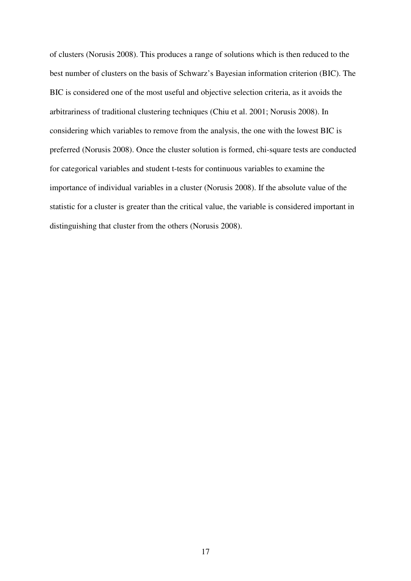of clusters (Norusis 2008). This produces a range of solutions which is then reduced to the best number of clusters on the basis of Schwarz's Bayesian information criterion (BIC). The BIC is considered one of the most useful and objective selection criteria, as it avoids the arbitrariness of traditional clustering techniques (Chiu et al. 2001; Norusis 2008). In considering which variables to remove from the analysis, the one with the lowest BIC is preferred (Norusis 2008). Once the cluster solution is formed, chi-square tests are conducted for categorical variables and student t-tests for continuous variables to examine the importance of individual variables in a cluster (Norusis 2008). If the absolute value of the statistic for a cluster is greater than the critical value, the variable is considered important in distinguishing that cluster from the others (Norusis 2008).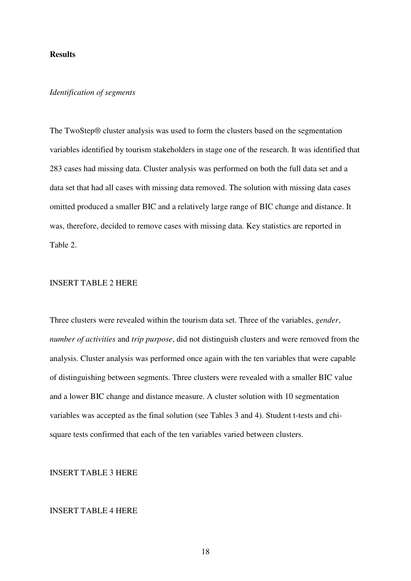## **Results**

## *Identification of segments*

The TwoStep® cluster analysis was used to form the clusters based on the segmentation variables identified by tourism stakeholders in stage one of the research. It was identified that 283 cases had missing data. Cluster analysis was performed on both the full data set and a data set that had all cases with missing data removed. The solution with missing data cases omitted produced a smaller BIC and a relatively large range of BIC change and distance. It was, therefore, decided to remove cases with missing data. Key statistics are reported in Table 2.

# INSERT TABLE 2 HERE

Three clusters were revealed within the tourism data set. Three of the variables, *gender*, *number of activities* and *trip purpose*, did not distinguish clusters and were removed from the analysis. Cluster analysis was performed once again with the ten variables that were capable of distinguishing between segments. Three clusters were revealed with a smaller BIC value and a lower BIC change and distance measure. A cluster solution with 10 segmentation variables was accepted as the final solution (see Tables 3 and 4). Student t-tests and chisquare tests confirmed that each of the ten variables varied between clusters.

INSERT TABLE 3 HERE

## INSERT TABLE 4 HERE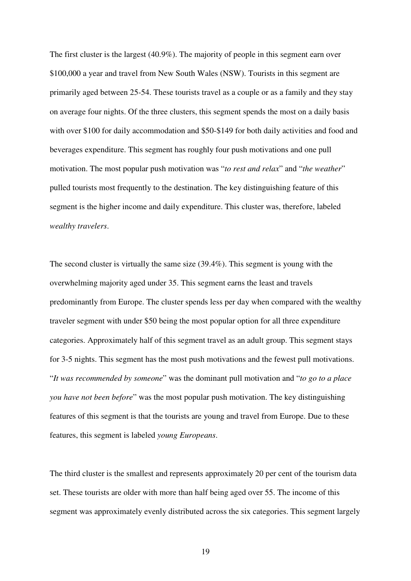The first cluster is the largest (40.9%). The majority of people in this segment earn over \$100,000 a year and travel from New South Wales (NSW). Tourists in this segment are primarily aged between 25-54. These tourists travel as a couple or as a family and they stay on average four nights. Of the three clusters, this segment spends the most on a daily basis with over \$100 for daily accommodation and \$50-\$149 for both daily activities and food and beverages expenditure. This segment has roughly four push motivations and one pull motivation. The most popular push motivation was "*to rest and relax*" and "*the weather*" pulled tourists most frequently to the destination. The key distinguishing feature of this segment is the higher income and daily expenditure. This cluster was, therefore, labeled *wealthy travelers*.

The second cluster is virtually the same size (39.4%). This segment is young with the overwhelming majority aged under 35. This segment earns the least and travels predominantly from Europe. The cluster spends less per day when compared with the wealthy traveler segment with under \$50 being the most popular option for all three expenditure categories. Approximately half of this segment travel as an adult group. This segment stays for 3-5 nights. This segment has the most push motivations and the fewest pull motivations. "*It was recommended by someone*" was the dominant pull motivation and "*to go to a place you have not been before*" was the most popular push motivation. The key distinguishing features of this segment is that the tourists are young and travel from Europe. Due to these features, this segment is labeled *young Europeans*.

The third cluster is the smallest and represents approximately 20 per cent of the tourism data set. These tourists are older with more than half being aged over 55. The income of this segment was approximately evenly distributed across the six categories. This segment largely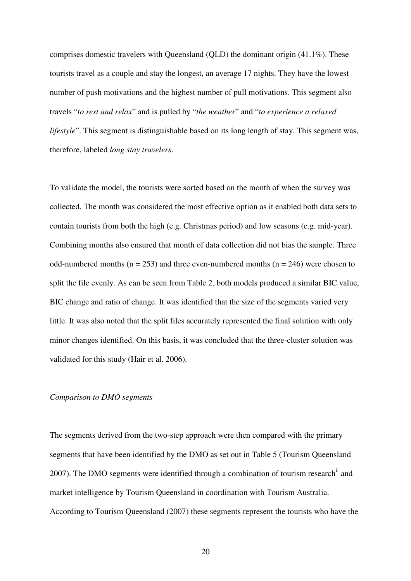comprises domestic travelers with Queensland (QLD) the dominant origin (41.1%). These tourists travel as a couple and stay the longest, an average 17 nights. They have the lowest number of push motivations and the highest number of pull motivations. This segment also travels "*to rest and relax*" and is pulled by "*the weather*" and "*to experience a relaxed lifestyle*". This segment is distinguishable based on its long length of stay. This segment was, therefore, labeled *long stay travelers*.

To validate the model, the tourists were sorted based on the month of when the survey was collected. The month was considered the most effective option as it enabled both data sets to contain tourists from both the high (e.g. Christmas period) and low seasons (e.g. mid-year). Combining months also ensured that month of data collection did not bias the sample. Three odd-numbered months ( $n = 253$ ) and three even-numbered months ( $n = 246$ ) were chosen to split the file evenly. As can be seen from Table 2, both models produced a similar BIC value, BIC change and ratio of change. It was identified that the size of the segments varied very little. It was also noted that the split files accurately represented the final solution with only minor changes identified. On this basis, it was concluded that the three-cluster solution was validated for this study (Hair et al. 2006).

### *Comparison to DMO segments*

The segments derived from the two-step approach were then compared with the primary segments that have been identified by the DMO as set out in Table 5 (Tourism Queensland 2007). The DMO segments were identified through a combination of tourism research<sup>ii</sup> and market intelligence by Tourism Queensland in coordination with Tourism Australia. According to Tourism Queensland (2007) these segments represent the tourists who have the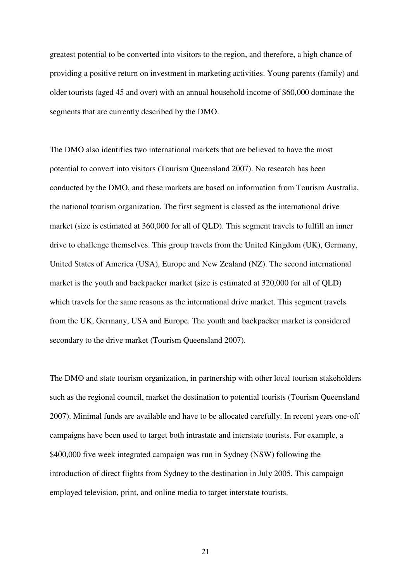greatest potential to be converted into visitors to the region, and therefore, a high chance of providing a positive return on investment in marketing activities. Young parents (family) and older tourists (aged 45 and over) with an annual household income of \$60,000 dominate the segments that are currently described by the DMO.

The DMO also identifies two international markets that are believed to have the most potential to convert into visitors (Tourism Queensland 2007). No research has been conducted by the DMO, and these markets are based on information from Tourism Australia, the national tourism organization. The first segment is classed as the international drive market (size is estimated at 360,000 for all of QLD). This segment travels to fulfill an inner drive to challenge themselves. This group travels from the United Kingdom (UK), Germany, United States of America (USA), Europe and New Zealand (NZ). The second international market is the youth and backpacker market (size is estimated at 320,000 for all of QLD) which travels for the same reasons as the international drive market. This segment travels from the UK, Germany, USA and Europe. The youth and backpacker market is considered secondary to the drive market (Tourism Queensland 2007).

The DMO and state tourism organization, in partnership with other local tourism stakeholders such as the regional council, market the destination to potential tourists (Tourism Queensland 2007). Minimal funds are available and have to be allocated carefully. In recent years one-off campaigns have been used to target both intrastate and interstate tourists. For example, a \$400,000 five week integrated campaign was run in Sydney (NSW) following the introduction of direct flights from Sydney to the destination in July 2005. This campaign employed television, print, and online media to target interstate tourists.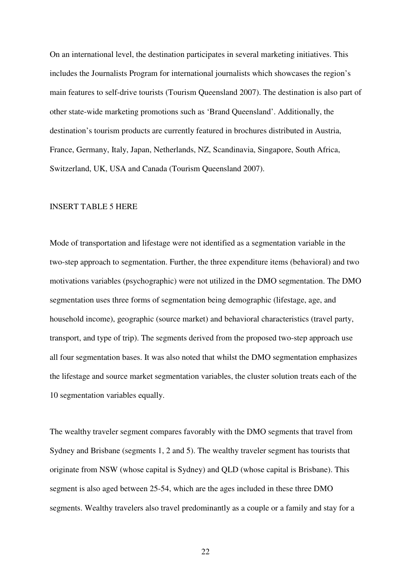On an international level, the destination participates in several marketing initiatives. This includes the Journalists Program for international journalists which showcases the region's main features to self-drive tourists (Tourism Queensland 2007). The destination is also part of other state-wide marketing promotions such as 'Brand Queensland'. Additionally, the destination's tourism products are currently featured in brochures distributed in Austria, France, Germany, Italy, Japan, Netherlands, NZ, Scandinavia, Singapore, South Africa, Switzerland, UK, USA and Canada (Tourism Queensland 2007).

### INSERT TABLE 5 HERE

Mode of transportation and lifestage were not identified as a segmentation variable in the two-step approach to segmentation. Further, the three expenditure items (behavioral) and two motivations variables (psychographic) were not utilized in the DMO segmentation. The DMO segmentation uses three forms of segmentation being demographic (lifestage, age, and household income), geographic (source market) and behavioral characteristics (travel party, transport, and type of trip). The segments derived from the proposed two-step approach use all four segmentation bases. It was also noted that whilst the DMO segmentation emphasizes the lifestage and source market segmentation variables, the cluster solution treats each of the 10 segmentation variables equally.

The wealthy traveler segment compares favorably with the DMO segments that travel from Sydney and Brisbane (segments 1, 2 and 5). The wealthy traveler segment has tourists that originate from NSW (whose capital is Sydney) and QLD (whose capital is Brisbane). This segment is also aged between 25-54, which are the ages included in these three DMO segments. Wealthy travelers also travel predominantly as a couple or a family and stay for a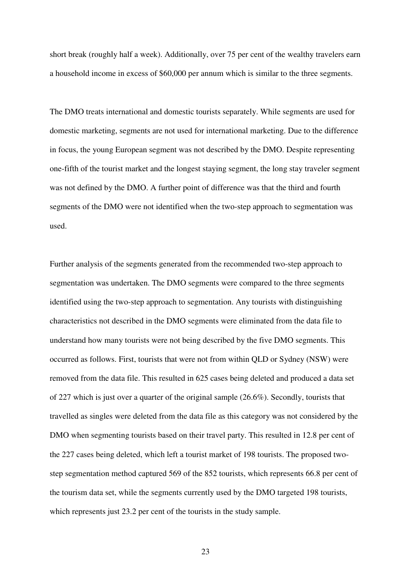short break (roughly half a week). Additionally, over 75 per cent of the wealthy travelers earn a household income in excess of \$60,000 per annum which is similar to the three segments.

The DMO treats international and domestic tourists separately. While segments are used for domestic marketing, segments are not used for international marketing. Due to the difference in focus, the young European segment was not described by the DMO. Despite representing one-fifth of the tourist market and the longest staying segment, the long stay traveler segment was not defined by the DMO. A further point of difference was that the third and fourth segments of the DMO were not identified when the two-step approach to segmentation was used.

Further analysis of the segments generated from the recommended two-step approach to segmentation was undertaken. The DMO segments were compared to the three segments identified using the two-step approach to segmentation. Any tourists with distinguishing characteristics not described in the DMO segments were eliminated from the data file to understand how many tourists were not being described by the five DMO segments. This occurred as follows. First, tourists that were not from within QLD or Sydney (NSW) were removed from the data file. This resulted in 625 cases being deleted and produced a data set of 227 which is just over a quarter of the original sample (26.6%). Secondly, tourists that travelled as singles were deleted from the data file as this category was not considered by the DMO when segmenting tourists based on their travel party. This resulted in 12.8 per cent of the 227 cases being deleted, which left a tourist market of 198 tourists. The proposed twostep segmentation method captured 569 of the 852 tourists, which represents 66.8 per cent of the tourism data set, while the segments currently used by the DMO targeted 198 tourists, which represents just 23.2 per cent of the tourists in the study sample.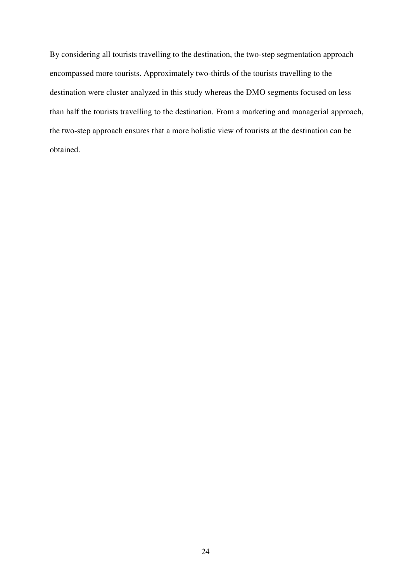By considering all tourists travelling to the destination, the two-step segmentation approach encompassed more tourists. Approximately two-thirds of the tourists travelling to the destination were cluster analyzed in this study whereas the DMO segments focused on less than half the tourists travelling to the destination. From a marketing and managerial approach, the two-step approach ensures that a more holistic view of tourists at the destination can be obtained.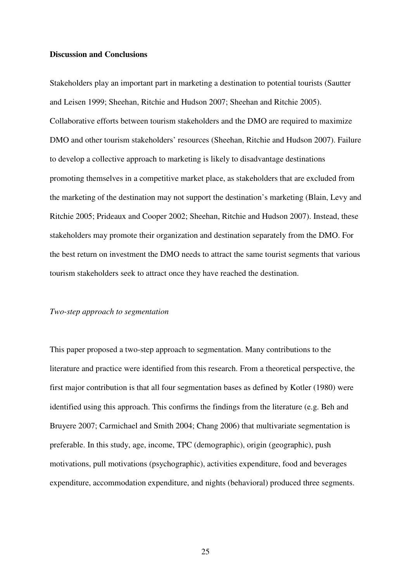### **Discussion and Conclusions**

Stakeholders play an important part in marketing a destination to potential tourists (Sautter and Leisen 1999; Sheehan, Ritchie and Hudson 2007; Sheehan and Ritchie 2005). Collaborative efforts between tourism stakeholders and the DMO are required to maximize DMO and other tourism stakeholders' resources (Sheehan, Ritchie and Hudson 2007). Failure to develop a collective approach to marketing is likely to disadvantage destinations promoting themselves in a competitive market place, as stakeholders that are excluded from the marketing of the destination may not support the destination's marketing (Blain, Levy and Ritchie 2005; Prideaux and Cooper 2002; Sheehan, Ritchie and Hudson 2007). Instead, these stakeholders may promote their organization and destination separately from the DMO. For the best return on investment the DMO needs to attract the same tourist segments that various tourism stakeholders seek to attract once they have reached the destination.

### *Two-step approach to segmentation*

This paper proposed a two-step approach to segmentation. Many contributions to the literature and practice were identified from this research. From a theoretical perspective, the first major contribution is that all four segmentation bases as defined by Kotler (1980) were identified using this approach. This confirms the findings from the literature (e.g. Beh and Bruyere 2007; Carmichael and Smith 2004; Chang 2006) that multivariate segmentation is preferable. In this study, age, income, TPC (demographic), origin (geographic), push motivations, pull motivations (psychographic), activities expenditure, food and beverages expenditure, accommodation expenditure, and nights (behavioral) produced three segments.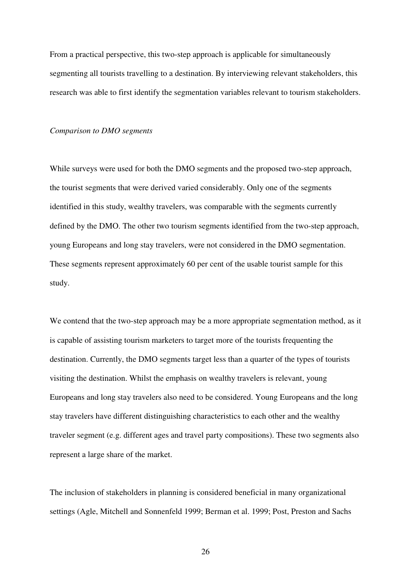From a practical perspective, this two-step approach is applicable for simultaneously segmenting all tourists travelling to a destination. By interviewing relevant stakeholders, this research was able to first identify the segmentation variables relevant to tourism stakeholders.

#### *Comparison to DMO segments*

While surveys were used for both the DMO segments and the proposed two-step approach, the tourist segments that were derived varied considerably. Only one of the segments identified in this study, wealthy travelers, was comparable with the segments currently defined by the DMO. The other two tourism segments identified from the two-step approach, young Europeans and long stay travelers, were not considered in the DMO segmentation. These segments represent approximately 60 per cent of the usable tourist sample for this study.

We contend that the two-step approach may be a more appropriate segmentation method, as it is capable of assisting tourism marketers to target more of the tourists frequenting the destination. Currently, the DMO segments target less than a quarter of the types of tourists visiting the destination. Whilst the emphasis on wealthy travelers is relevant, young Europeans and long stay travelers also need to be considered. Young Europeans and the long stay travelers have different distinguishing characteristics to each other and the wealthy traveler segment (e.g. different ages and travel party compositions). These two segments also represent a large share of the market.

The inclusion of stakeholders in planning is considered beneficial in many organizational settings (Agle, Mitchell and Sonnenfeld 1999; Berman et al. 1999; Post, Preston and Sachs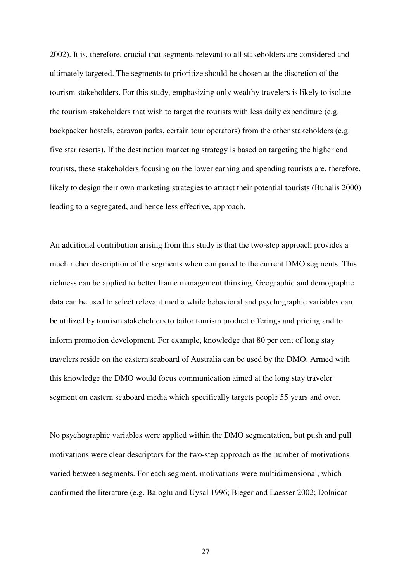2002). It is, therefore, crucial that segments relevant to all stakeholders are considered and ultimately targeted. The segments to prioritize should be chosen at the discretion of the tourism stakeholders. For this study, emphasizing only wealthy travelers is likely to isolate the tourism stakeholders that wish to target the tourists with less daily expenditure (e.g. backpacker hostels, caravan parks, certain tour operators) from the other stakeholders (e.g. five star resorts). If the destination marketing strategy is based on targeting the higher end tourists, these stakeholders focusing on the lower earning and spending tourists are, therefore, likely to design their own marketing strategies to attract their potential tourists (Buhalis 2000) leading to a segregated, and hence less effective, approach.

An additional contribution arising from this study is that the two-step approach provides a much richer description of the segments when compared to the current DMO segments. This richness can be applied to better frame management thinking. Geographic and demographic data can be used to select relevant media while behavioral and psychographic variables can be utilized by tourism stakeholders to tailor tourism product offerings and pricing and to inform promotion development. For example, knowledge that 80 per cent of long stay travelers reside on the eastern seaboard of Australia can be used by the DMO. Armed with this knowledge the DMO would focus communication aimed at the long stay traveler segment on eastern seaboard media which specifically targets people 55 years and over.

No psychographic variables were applied within the DMO segmentation, but push and pull motivations were clear descriptors for the two-step approach as the number of motivations varied between segments. For each segment, motivations were multidimensional, which confirmed the literature (e.g. Baloglu and Uysal 1996; Bieger and Laesser 2002; Dolnicar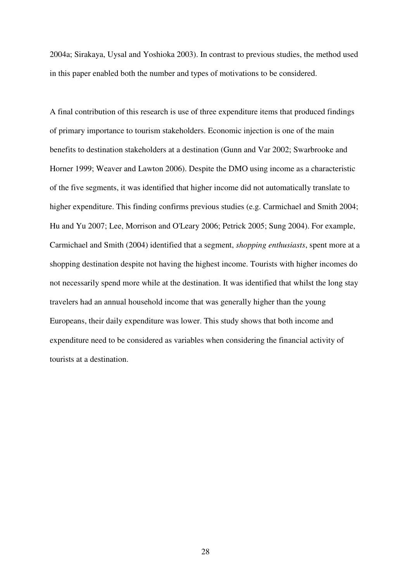2004a; Sirakaya, Uysal and Yoshioka 2003). In contrast to previous studies, the method used in this paper enabled both the number and types of motivations to be considered.

A final contribution of this research is use of three expenditure items that produced findings of primary importance to tourism stakeholders. Economic injection is one of the main benefits to destination stakeholders at a destination (Gunn and Var 2002; Swarbrooke and Horner 1999; Weaver and Lawton 2006). Despite the DMO using income as a characteristic of the five segments, it was identified that higher income did not automatically translate to higher expenditure. This finding confirms previous studies (e.g. Carmichael and Smith 2004; Hu and Yu 2007; Lee, Morrison and O'Leary 2006; Petrick 2005; Sung 2004). For example, Carmichael and Smith (2004) identified that a segment, *shopping enthusiasts*, spent more at a shopping destination despite not having the highest income. Tourists with higher incomes do not necessarily spend more while at the destination. It was identified that whilst the long stay travelers had an annual household income that was generally higher than the young Europeans, their daily expenditure was lower. This study shows that both income and expenditure need to be considered as variables when considering the financial activity of tourists at a destination.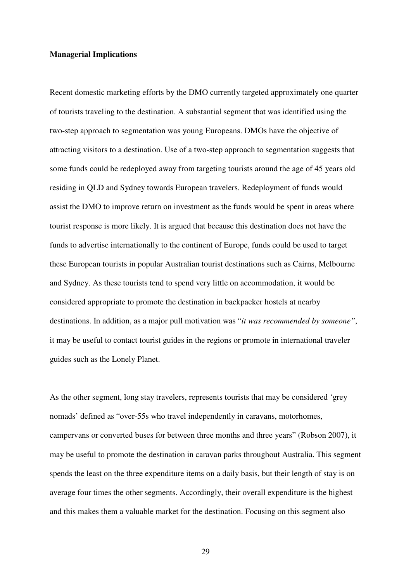## **Managerial Implications**

Recent domestic marketing efforts by the DMO currently targeted approximately one quarter of tourists traveling to the destination. A substantial segment that was identified using the two-step approach to segmentation was young Europeans. DMOs have the objective of attracting visitors to a destination. Use of a two-step approach to segmentation suggests that some funds could be redeployed away from targeting tourists around the age of 45 years old residing in QLD and Sydney towards European travelers. Redeployment of funds would assist the DMO to improve return on investment as the funds would be spent in areas where tourist response is more likely. It is argued that because this destination does not have the funds to advertise internationally to the continent of Europe, funds could be used to target these European tourists in popular Australian tourist destinations such as Cairns, Melbourne and Sydney. As these tourists tend to spend very little on accommodation, it would be considered appropriate to promote the destination in backpacker hostels at nearby destinations. In addition, as a major pull motivation was "*it was recommended by someone"*, it may be useful to contact tourist guides in the regions or promote in international traveler guides such as the Lonely Planet.

As the other segment, long stay travelers, represents tourists that may be considered 'grey nomads' defined as "over-55s who travel independently in caravans, motorhomes, campervans or converted buses for between three months and three years" (Robson 2007), it may be useful to promote the destination in caravan parks throughout Australia. This segment spends the least on the three expenditure items on a daily basis, but their length of stay is on average four times the other segments. Accordingly, their overall expenditure is the highest and this makes them a valuable market for the destination. Focusing on this segment also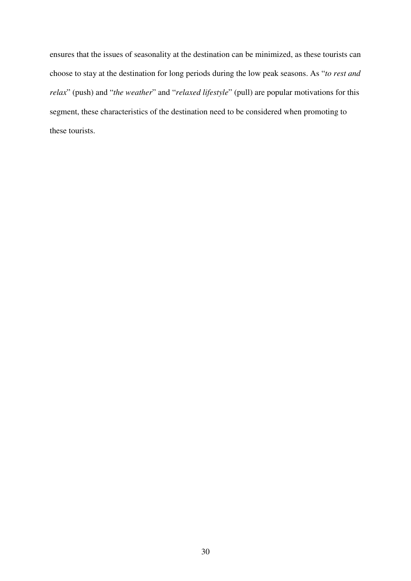ensures that the issues of seasonality at the destination can be minimized, as these tourists can choose to stay at the destination for long periods during the low peak seasons. As "*to rest and relax*" (push) and "*the weather*" and "*relaxed lifestyle*" (pull) are popular motivations for this segment, these characteristics of the destination need to be considered when promoting to these tourists.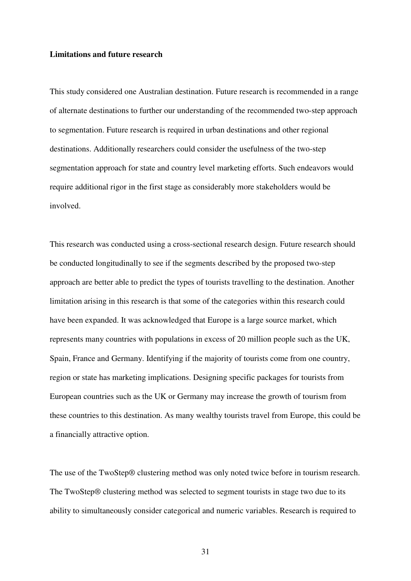## **Limitations and future research**

This study considered one Australian destination. Future research is recommended in a range of alternate destinations to further our understanding of the recommended two-step approach to segmentation. Future research is required in urban destinations and other regional destinations. Additionally researchers could consider the usefulness of the two-step segmentation approach for state and country level marketing efforts. Such endeavors would require additional rigor in the first stage as considerably more stakeholders would be involved.

This research was conducted using a cross-sectional research design. Future research should be conducted longitudinally to see if the segments described by the proposed two-step approach are better able to predict the types of tourists travelling to the destination. Another limitation arising in this research is that some of the categories within this research could have been expanded. It was acknowledged that Europe is a large source market, which represents many countries with populations in excess of 20 million people such as the UK, Spain, France and Germany. Identifying if the majority of tourists come from one country, region or state has marketing implications. Designing specific packages for tourists from European countries such as the UK or Germany may increase the growth of tourism from these countries to this destination. As many wealthy tourists travel from Europe, this could be a financially attractive option.

The use of the TwoStep® clustering method was only noted twice before in tourism research. The TwoStep® clustering method was selected to segment tourists in stage two due to its ability to simultaneously consider categorical and numeric variables. Research is required to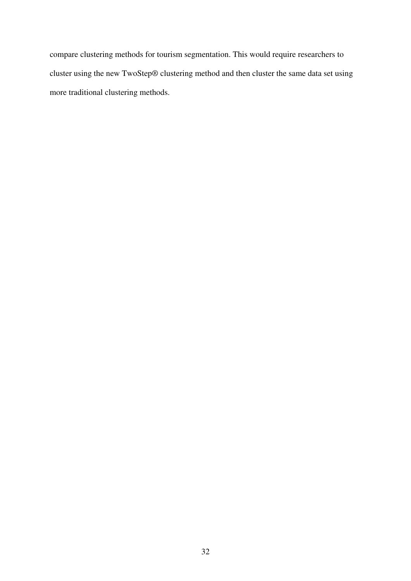compare clustering methods for tourism segmentation. This would require researchers to cluster using the new TwoStep® clustering method and then cluster the same data set using more traditional clustering methods.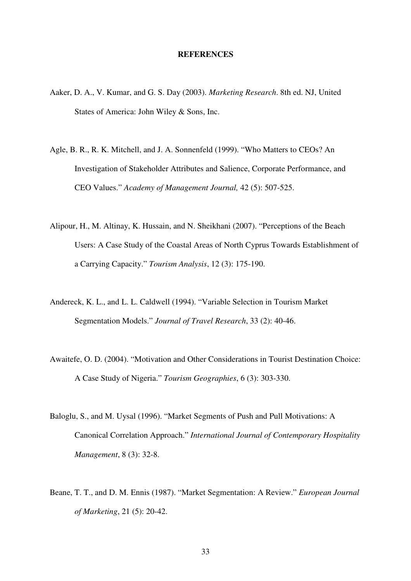### **REFERENCES**

- Aaker, D. A., V. Kumar, and G. S. Day (2003). *Marketing Research*. 8th ed. NJ, United States of America: John Wiley & Sons, Inc.
- Agle, B. R., R. K. Mitchell, and J. A. Sonnenfeld (1999). "Who Matters to CEOs? An Investigation of Stakeholder Attributes and Salience, Corporate Performance, and CEO Values." *Academy of Management Journal,* 42 (5): 507-525.
- Alipour, H., M. Altinay, K. Hussain, and N. Sheikhani (2007). "Perceptions of the Beach Users: A Case Study of the Coastal Areas of North Cyprus Towards Establishment of a Carrying Capacity." *Tourism Analysis*, 12 (3): 175-190.
- Andereck, K. L., and L. L. Caldwell (1994). "Variable Selection in Tourism Market Segmentation Models." *Journal of Travel Research*, 33 (2): 40-46.
- Awaitefe, O. D. (2004). "Motivation and Other Considerations in Tourist Destination Choice: A Case Study of Nigeria." *Tourism Geographies*, 6 (3): 303-330.
- Baloglu, S., and M. Uysal (1996). "Market Segments of Push and Pull Motivations: A Canonical Correlation Approach." *International Journal of Contemporary Hospitality Management*, 8 (3): 32-8.
- Beane, T. T., and D. M. Ennis (1987). "Market Segmentation: A Review." *European Journal of Marketing*, 21 (5): 20-42.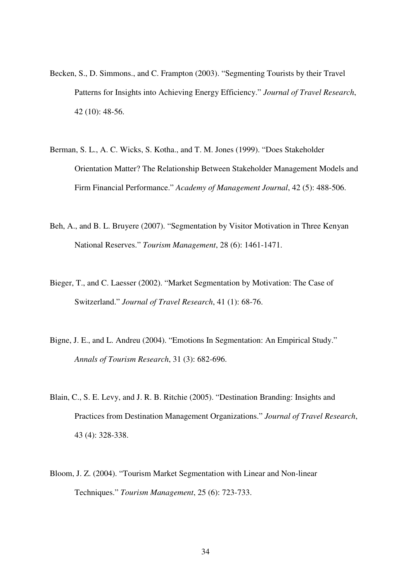- Becken, S., D. Simmons., and C. Frampton (2003). "Segmenting Tourists by their Travel Patterns for Insights into Achieving Energy Efficiency." *Journal of Travel Research*, 42 (10): 48-56.
- Berman, S. L., A. C. Wicks, S. Kotha., and T. M. Jones (1999). "Does Stakeholder Orientation Matter? The Relationship Between Stakeholder Management Models and Firm Financial Performance." *Academy of Management Journal*, 42 (5): 488-506.
- Beh, A., and B. L. Bruyere (2007). "Segmentation by Visitor Motivation in Three Kenyan National Reserves." *Tourism Management*, 28 (6): 1461-1471.
- Bieger, T., and C. Laesser (2002). "Market Segmentation by Motivation: The Case of Switzerland." *Journal of Travel Research*, 41 (1): 68-76.
- Bigne, J. E., and L. Andreu (2004). "Emotions In Segmentation: An Empirical Study." *Annals of Tourism Research*, 31 (3): 682-696.
- Blain, C., S. E. Levy, and J. R. B. Ritchie (2005). "Destination Branding: Insights and Practices from Destination Management Organizations." *Journal of Travel Research*, 43 (4): 328-338.
- Bloom, J. Z. (2004). "Tourism Market Segmentation with Linear and Non-linear Techniques." *Tourism Management*, 25 (6): 723-733.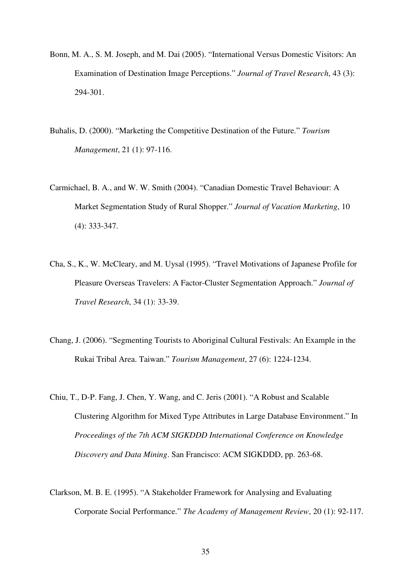- Bonn, M. A., S. M. Joseph, and M. Dai (2005). "International Versus Domestic Visitors: An Examination of Destination Image Perceptions." *Journal of Travel Research*, 43 (3): 294-301.
- Buhalis, D. (2000). "Marketing the Competitive Destination of the Future." *Tourism Management*, 21 (1): 97-116.
- Carmichael, B. A., and W. W. Smith (2004). "Canadian Domestic Travel Behaviour: A Market Segmentation Study of Rural Shopper." *Journal of Vacation Marketing*, 10 (4): 333-347.
- Cha, S., K., W. McCleary, and M. Uysal (1995). "Travel Motivations of Japanese Profile for Pleasure Overseas Travelers: A Factor-Cluster Segmentation Approach." *Journal of Travel Research*, 34 (1): 33-39.
- Chang, J. (2006). "Segmenting Tourists to Aboriginal Cultural Festivals: An Example in the Rukai Tribal Area. Taiwan." *Tourism Management*, 27 (6): 1224-1234.
- Chiu, T., D-P. Fang, J. Chen, Y. Wang, and C. Jeris (2001). "A Robust and Scalable Clustering Algorithm for Mixed Type Attributes in Large Database Environment." In *Proceedings of the 7th ACM SIGKDDD International Conference on Knowledge Discovery and Data Mining*. San Francisco: ACM SIGKDDD, pp. 263-68.
- Clarkson, M. B. E. (1995). "A Stakeholder Framework for Analysing and Evaluating Corporate Social Performance." *The Academy of Management Review*, 20 (1): 92-117.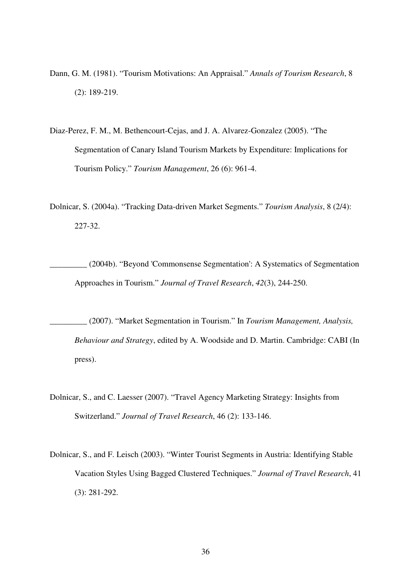- Dann, G. M. (1981). "Tourism Motivations: An Appraisal." *Annals of Tourism Research*, 8 (2): 189-219.
- Diaz-Perez, F. M., M. Bethencourt-Cejas, and J. A. Alvarez-Gonzalez (2005). "The Segmentation of Canary Island Tourism Markets by Expenditure: Implications for Tourism Policy." *Tourism Management*, 26 (6): 961-4.
- Dolnicar, S. (2004a). "Tracking Data-driven Market Segments." *Tourism Analysis*, 8 (2/4): 227-32.
	- \_\_\_\_\_\_\_\_\_ (2004b). "Beyond 'Commonsense Segmentation': A Systematics of Segmentation Approaches in Tourism." *Journal of Travel Research*, *42*(3), 244-250.
		- \_\_\_\_\_\_\_\_\_ (2007). "Market Segmentation in Tourism." In *Tourism Management, Analysis, Behaviour and Strategy*, edited by A. Woodside and D. Martin. Cambridge: CABI (In press).
- Dolnicar, S., and C. Laesser (2007). "Travel Agency Marketing Strategy: Insights from Switzerland." *Journal of Travel Research*, 46 (2): 133-146.
- Dolnicar, S., and F. Leisch (2003). "Winter Tourist Segments in Austria: Identifying Stable Vacation Styles Using Bagged Clustered Techniques." *Journal of Travel Research*, 41 (3): 281-292.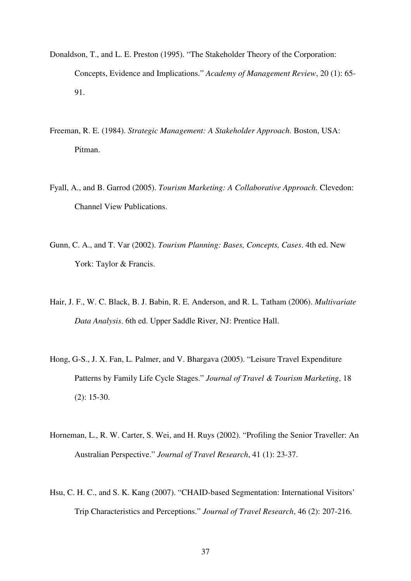- Donaldson, T., and L. E. Preston (1995). "The Stakeholder Theory of the Corporation: Concepts, Evidence and Implications." *Academy of Management Review*, 20 (1): 65- 91.
- Freeman, R. E. (1984). *Strategic Management: A Stakeholder Approach*. Boston, USA: Pitman.
- Fyall, A., and B. Garrod (2005). *Tourism Marketing: A Collaborative Approach*. Clevedon: Channel View Publications.
- Gunn, C. A., and T. Var (2002). *Tourism Planning: Bases, Concepts, Cases*. 4th ed. New York: Taylor & Francis.
- Hair, J. F., W. C. Black, B. J. Babin, R. E. Anderson, and R. L. Tatham (2006). *Multivariate Data Analysis*. 6th ed. Upper Saddle River, NJ: Prentice Hall.
- Hong, G-S., J. X. Fan, L. Palmer, and V. Bhargava (2005). "Leisure Travel Expenditure Patterns by Family Life Cycle Stages." *Journal of Travel & Tourism Marketing*, 18 (2): 15-30.
- Horneman, L., R. W. Carter, S. Wei, and H. Ruys (2002). "Profiling the Senior Traveller: An Australian Perspective." *Journal of Travel Research*, 41 (1): 23-37.
- Hsu, C. H. C., and S. K. Kang (2007). "CHAID-based Segmentation: International Visitors' Trip Characteristics and Perceptions." *Journal of Travel Research*, 46 (2): 207-216.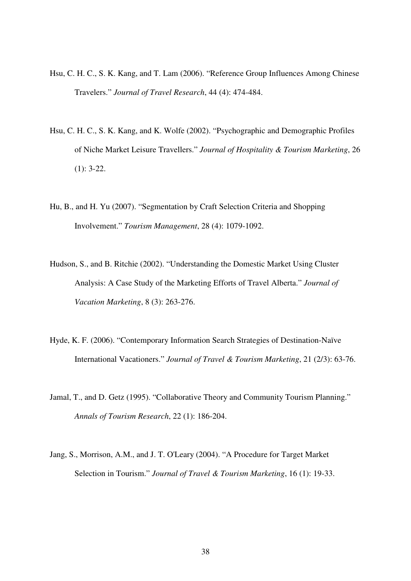- Hsu, C. H. C., S. K. Kang, and T. Lam (2006). "Reference Group Influences Among Chinese Travelers." *Journal of Travel Research*, 44 (4): 474-484.
- Hsu, C. H. C., S. K. Kang, and K. Wolfe (2002). "Psychographic and Demographic Profiles of Niche Market Leisure Travellers." *Journal of Hospitality & Tourism Marketing*, 26 (1): 3-22.
- Hu, B., and H. Yu (2007). "Segmentation by Craft Selection Criteria and Shopping Involvement." *Tourism Management*, 28 (4): 1079-1092.
- Hudson, S., and B. Ritchie (2002). "Understanding the Domestic Market Using Cluster Analysis: A Case Study of the Marketing Efforts of Travel Alberta." *Journal of Vacation Marketing*, 8 (3): 263-276.
- Hyde, K. F. (2006). "Contemporary Information Search Strategies of Destination-Naïve International Vacationers." *Journal of Travel & Tourism Marketing*, 21 (2/3): 63-76.
- Jamal, T., and D. Getz (1995). "Collaborative Theory and Community Tourism Planning." *Annals of Tourism Research*, 22 (1): 186-204.
- Jang, S., Morrison, A.M., and J. T. O'Leary (2004). "A Procedure for Target Market Selection in Tourism." *Journal of Travel & Tourism Marketing*, 16 (1): 19-33.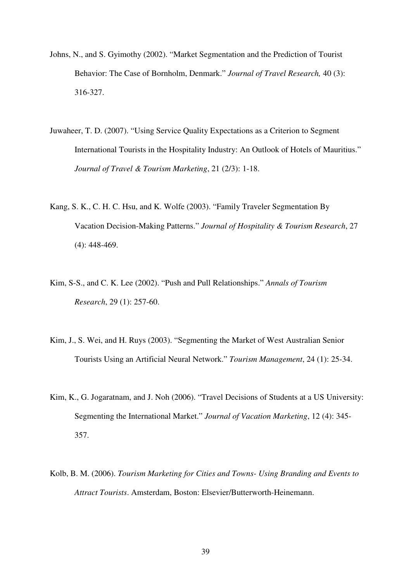- Johns, N., and S. Gyimothy (2002). "Market Segmentation and the Prediction of Tourist Behavior: The Case of Bornholm, Denmark." *Journal of Travel Research,* 40 (3): 316-327.
- Juwaheer, T. D. (2007). "Using Service Quality Expectations as a Criterion to Segment International Tourists in the Hospitality Industry: An Outlook of Hotels of Mauritius." *Journal of Travel & Tourism Marketing*, 21 (2/3): 1-18.
- Kang, S. K., C. H. C. Hsu, and K. Wolfe (2003). "Family Traveler Segmentation By Vacation Decision-Making Patterns." *Journal of Hospitality & Tourism Research*, 27 (4): 448-469.
- Kim, S-S., and C. K. Lee (2002). "Push and Pull Relationships." *Annals of Tourism Research*, 29 (1): 257-60.
- Kim, J., S. Wei, and H. Ruys (2003). "Segmenting the Market of West Australian Senior Tourists Using an Artificial Neural Network." *Tourism Management*, 24 (1): 25-34.
- Kim, K., G. Jogaratnam, and J. Noh (2006). "Travel Decisions of Students at a US University: Segmenting the International Market." *Journal of Vacation Marketing*, 12 (4): 345- 357.
- Kolb, B. M. (2006). *Tourism Marketing for Cities and Towns- Using Branding and Events to Attract Tourists*. Amsterdam, Boston: Elsevier/Butterworth-Heinemann.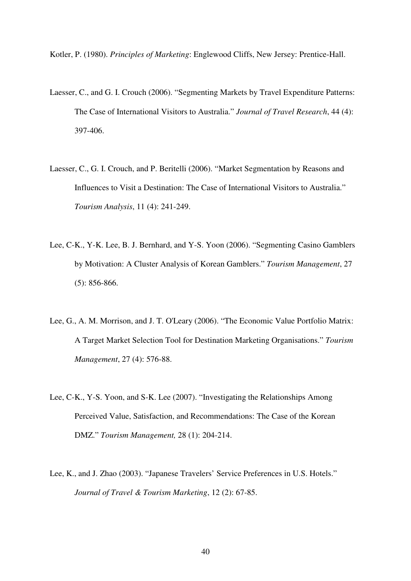Kotler, P. (1980). *Principles of Marketing*: Englewood Cliffs, New Jersey: Prentice-Hall.

- Laesser, C., and G. I. Crouch (2006). "Segmenting Markets by Travel Expenditure Patterns: The Case of International Visitors to Australia." *Journal of Travel Research*, 44 (4): 397-406.
- Laesser, C., G. I. Crouch, and P. Beritelli (2006). "Market Segmentation by Reasons and Influences to Visit a Destination: The Case of International Visitors to Australia." *Tourism Analysis*, 11 (4): 241-249.
- Lee, C-K., Y-K. Lee, B. J. Bernhard, and Y-S. Yoon (2006). "Segmenting Casino Gamblers by Motivation: A Cluster Analysis of Korean Gamblers." *Tourism Management*, 27 (5): 856-866.
- Lee, G., A. M. Morrison, and J. T. O'Leary (2006). "The Economic Value Portfolio Matrix: A Target Market Selection Tool for Destination Marketing Organisations." *Tourism Management*, 27 (4): 576-88.
- Lee, C-K., Y-S. Yoon, and S-K. Lee (2007). "Investigating the Relationships Among Perceived Value, Satisfaction, and Recommendations: The Case of the Korean DMZ." *Tourism Management,* 28 (1): 204-214.
- Lee, K., and J. Zhao (2003). "Japanese Travelers' Service Preferences in U.S. Hotels." *Journal of Travel & Tourism Marketing*, 12 (2): 67-85.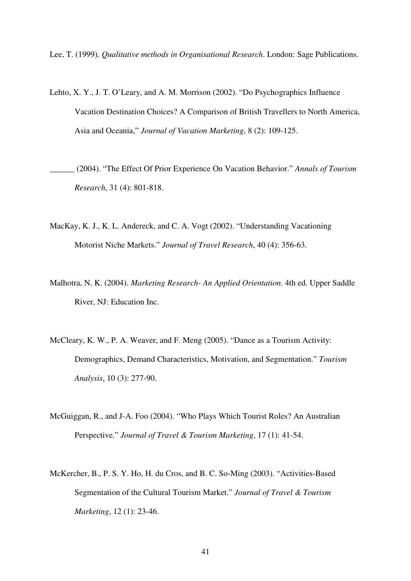Lee, T. (1999). *Qualitative methods in Organisational Research*. London: Sage Publications.

Lehto, X. Y., J. T. O'Leary, and A. M. Morrison (2002). "Do Psychographics Influence Vacation Destination Choices? A Comparison of British Travellers to North America, Asia and Oceania," *Journal of Vacation Marketing*, 8 (2): 109-125.

\_\_\_\_\_\_ (2004). "The Effect Of Prior Experience On Vacation Behavior." *Annals of Tourism Research*, 31 (4): 801-818.

- MacKay, K. J., K. L. Andereck, and C. A. Vogt (2002). "Understanding Vacationing Motorist Niche Markets." *Journal of Travel Research*, 40 (4): 356-63.
- Malhotra, N. K. (2004). *Marketing Research- An Applied Orientation*. 4th ed. Upper Saddle River, NJ: Education Inc.
- McCleary, K. W., P. A. Weaver, and F. Meng (2005). "Dance as a Tourism Activity: Demographics, Demand Characteristics, Motivation, and Segmentation." *Tourism Analysis*, 10 (3): 277-90.
- McGuiggan, R., and J-A. Foo (2004). "Who Plays Which Tourist Roles? An Australian Perspective." *Journal of Travel & Tourism Marketing*, 17 (1): 41-54.
- McKercher, B., P. S. Y. Ho, H. du Cros, and B. C. So-Ming (2003). "Activities-Based Segmentation of the Cultural Tourism Market." *Journal of Travel & Tourism Marketing*, 12 (1): 23-46.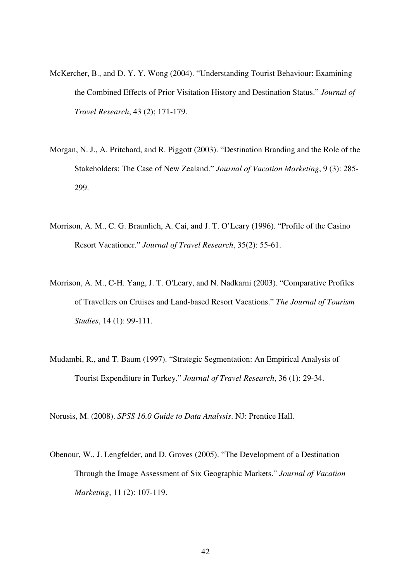- McKercher, B., and D. Y. Y. Wong (2004). "Understanding Tourist Behaviour: Examining the Combined Effects of Prior Visitation History and Destination Status." *Journal of Travel Research*, 43 (2); 171-179.
- Morgan, N. J., A. Pritchard, and R. Piggott (2003). "Destination Branding and the Role of the Stakeholders: The Case of New Zealand." *Journal of Vacation Marketing*, 9 (3): 285- 299.
- Morrison, A. M., C. G. Braunlich, A. Cai, and J. T. O'Leary (1996). "Profile of the Casino Resort Vacationer." *Journal of Travel Research*, 35(2): 55-61.
- Morrison, A. M., C-H. Yang, J. T. O'Leary, and N. Nadkarni (2003). "Comparative Profiles of Travellers on Cruises and Land-based Resort Vacations." *The Journal of Tourism Studies*, 14 (1): 99-111.
- Mudambi, R., and T. Baum (1997). "Strategic Segmentation: An Empirical Analysis of Tourist Expenditure in Turkey." *Journal of Travel Research*, 36 (1): 29-34.

Norusis, M. (2008). *SPSS 16.0 Guide to Data Analysis*. NJ: Prentice Hall.

Obenour, W., J. Lengfelder, and D. Groves (2005). "The Development of a Destination Through the Image Assessment of Six Geographic Markets." *Journal of Vacation Marketing*, 11 (2): 107-119.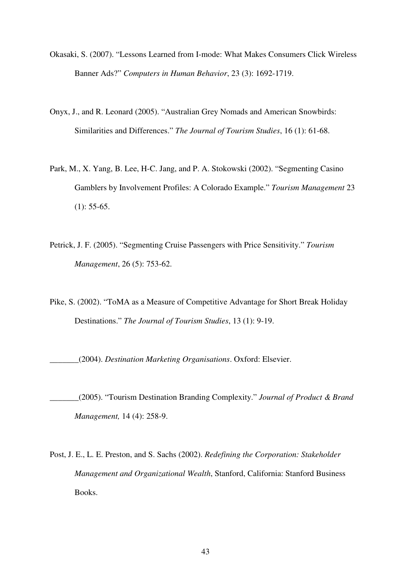- Okasaki, S. (2007). "Lessons Learned from I-mode: What Makes Consumers Click Wireless Banner Ads?" *Computers in Human Behavior*, 23 (3): 1692-1719.
- Onyx, J., and R. Leonard (2005). "Australian Grey Nomads and American Snowbirds: Similarities and Differences." *The Journal of Tourism Studies*, 16 (1): 61-68.
- Park, M., X. Yang, B. Lee, H-C. Jang, and P. A. Stokowski (2002). "Segmenting Casino Gamblers by Involvement Profiles: A Colorado Example." *Tourism Management* 23  $(1): 55-65.$
- Petrick, J. F. (2005). "Segmenting Cruise Passengers with Price Sensitivity." *Tourism Management*, 26 (5): 753-62.
- Pike, S. (2002). "ToMA as a Measure of Competitive Advantage for Short Break Holiday Destinations." *The Journal of Tourism Studies*, 13 (1): 9-19.

\_\_\_\_\_\_\_(2004). *Destination Marketing Organisations*. Oxford: Elsevier.

- \_\_\_\_\_\_\_(2005). "Tourism Destination Branding Complexity." *Journal of Product & Brand Management,* 14 (4): 258-9.
- Post, J. E., L. E. Preston, and S. Sachs (2002). *Redefining the Corporation: Stakeholder Management and Organizational Wealth*, Stanford, California: Stanford Business Books.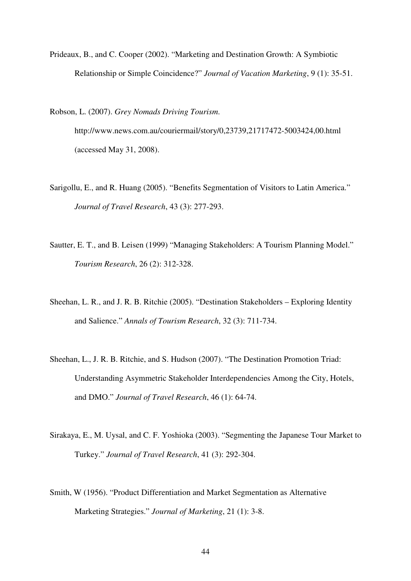Prideaux, B., and C. Cooper (2002). "Marketing and Destination Growth: A Symbiotic Relationship or Simple Coincidence?" *Journal of Vacation Marketing*, 9 (1): 35-51.

Robson, L. (2007). *Grey Nomads Driving Tourism*.

http://www.news.com.au/couriermail/story/0,23739,21717472-5003424,00.html (accessed May 31, 2008).

- Sarigollu, E., and R. Huang (2005). "Benefits Segmentation of Visitors to Latin America." *Journal of Travel Research*, 43 (3): 277-293.
- Sautter, E. T., and B. Leisen (1999) "Managing Stakeholders: A Tourism Planning Model." *Tourism Research*, 26 (2): 312-328.
- Sheehan, L. R., and J. R. B. Ritchie (2005). "Destination Stakeholders Exploring Identity and Salience." *Annals of Tourism Research*, 32 (3): 711-734.
- Sheehan, L., J. R. B. Ritchie, and S. Hudson (2007). "The Destination Promotion Triad: Understanding Asymmetric Stakeholder Interdependencies Among the City, Hotels, and DMO." *Journal of Travel Research*, 46 (1): 64-74.
- Sirakaya, E., M. Uysal, and C. F. Yoshioka (2003). "Segmenting the Japanese Tour Market to Turkey." *Journal of Travel Research*, 41 (3): 292-304.
- Smith, W (1956). "Product Differentiation and Market Segmentation as Alternative Marketing Strategies." *Journal of Marketing*, 21 (1): 3-8.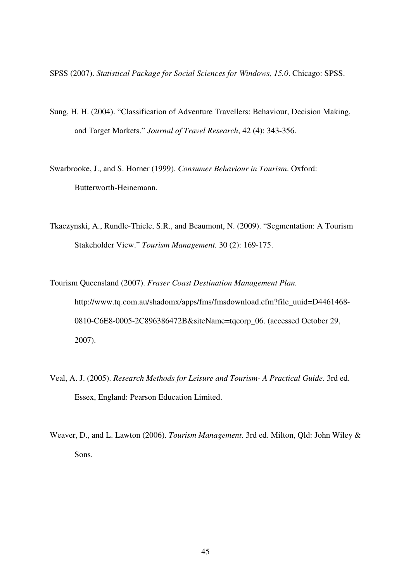SPSS (2007). *Statistical Package for Social Sciences for Windows, 15.0*. Chicago: SPSS.

- Sung, H. H. (2004). "Classification of Adventure Travellers: Behaviour, Decision Making, and Target Markets." *Journal of Travel Research*, 42 (4): 343-356.
- Swarbrooke, J., and S. Horner (1999). *Consumer Behaviour in Tourism*. Oxford: Butterworth-Heinemann.
- Tkaczynski, A., Rundle-Thiele, S.R., and Beaumont, N. (2009). "Segmentation: A Tourism Stakeholder View." *Tourism Management.* 30 (2): 169-175.
- Tourism Queensland (2007). *Fraser Coast Destination Management Plan.* http://www.tq.com.au/shadomx/apps/fms/fmsdownload.cfm?file\_uuid=D4461468- 0810-C6E8-0005-2C896386472B&siteName=tqcorp\_06. (accessed October 29, 2007).
- Veal, A. J. (2005). *Research Methods for Leisure and Tourism- A Practical Guide*. 3rd ed. Essex, England: Pearson Education Limited.
- Weaver, D., and L. Lawton (2006). *Tourism Management*. 3rd ed. Milton, Qld: John Wiley & Sons.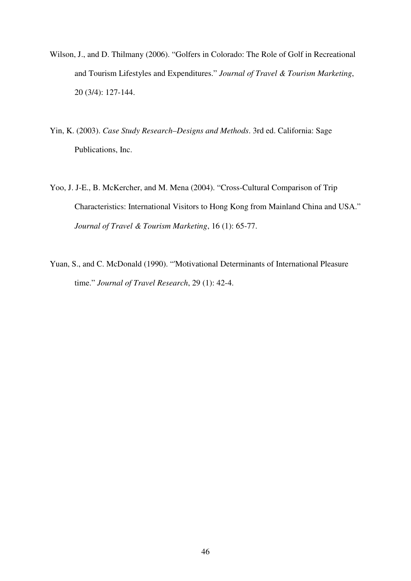- Wilson, J., and D. Thilmany (2006). "Golfers in Colorado: The Role of Golf in Recreational and Tourism Lifestyles and Expenditures." *Journal of Travel & Tourism Marketing*, 20 (3/4): 127-144.
- Yin, K. (2003). *Case Study Research–Designs and Methods*. 3rd ed. California: Sage Publications, Inc.
- Yoo, J. J-E., B. McKercher, and M. Mena (2004). "Cross-Cultural Comparison of Trip Characteristics: International Visitors to Hong Kong from Mainland China and USA." *Journal of Travel & Tourism Marketing*, 16 (1): 65-77.
- Yuan, S., and C. McDonald (1990). "'Motivational Determinants of International Pleasure time." *Journal of Travel Research*, 29 (1): 42-4.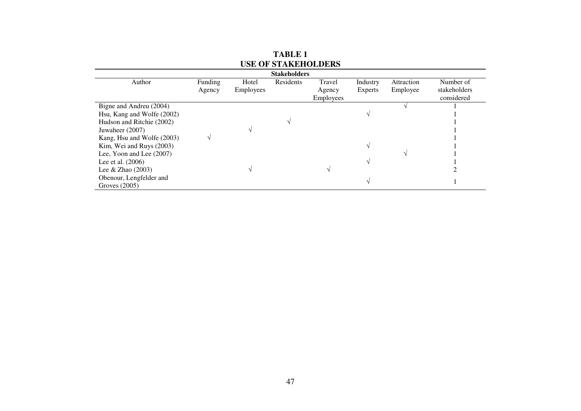| <b>Stakeholders</b>        |         |           |           |                  |          |            |              |  |  |  |
|----------------------------|---------|-----------|-----------|------------------|----------|------------|--------------|--|--|--|
| Author                     | Funding | Hotel     | Residents | Travel           | Industry | Attraction | Number of    |  |  |  |
|                            | Agency  | Employees |           | Agency           | Experts  | Employee   | stakeholders |  |  |  |
|                            |         |           |           | <b>Employees</b> |          |            | considered   |  |  |  |
| Bigne and Andreu (2004)    |         |           |           |                  |          |            |              |  |  |  |
| Hsu, Kang and Wolfe (2002) |         |           |           |                  |          |            |              |  |  |  |
| Hudson and Ritchie (2002)  |         |           |           |                  |          |            |              |  |  |  |
| Juwaheer (2007)            |         |           |           |                  |          |            |              |  |  |  |
| Kang, Hsu and Wolfe (2003) |         |           |           |                  |          |            |              |  |  |  |
| Kim, Wei and Ruys (2003)   |         |           |           |                  |          |            |              |  |  |  |
| Lee, Yoon and Lee $(2007)$ |         |           |           |                  |          |            |              |  |  |  |
| Lee et al. (2006)          |         |           |           |                  |          |            |              |  |  |  |
| Lee & Zhao $(2003)$        |         |           |           |                  |          |            |              |  |  |  |
| Obenour, Lengfelder and    |         |           |           |                  |          |            |              |  |  |  |
| Groves (2005)              |         |           |           |                  |          |            |              |  |  |  |

| <b>TABLE 1</b>             |
|----------------------------|
| <b>USE OF STAKEHOLDERS</b> |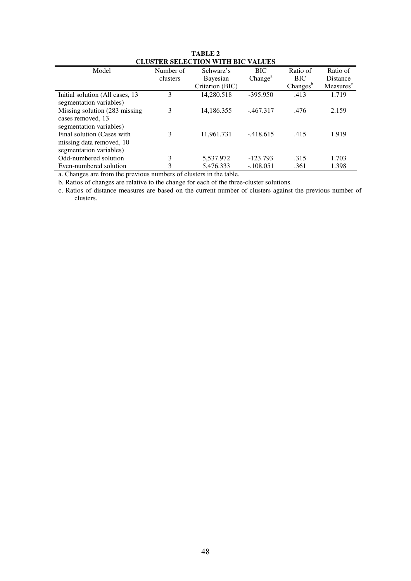| Model                            | Number of | Schwarz's       | <b>BIC</b>          | Ratio of    | Ratio of              |
|----------------------------------|-----------|-----------------|---------------------|-------------|-----------------------|
|                                  | clusters  | Bayesian        | Change <sup>a</sup> | <b>BIC</b>  | <b>Distance</b>       |
|                                  |           | Criterion (BIC) |                     | $Changes^b$ | Measures <sup>c</sup> |
| Initial solution (All cases, 13) | 3         | 14,280.518      | $-395.950$          | .413        | 1.719                 |
| segmentation variables)          |           |                 |                     |             |                       |
| Missing solution (283 missing)   | 3         | 14,186.355      | $-.467.317$         | .476        | 2.159                 |
| cases removed, 13                |           |                 |                     |             |                       |
| segmentation variables)          |           |                 |                     |             |                       |
| Final solution (Cases with       | 3         | 11,961.731      | $-418.615$          | .415        | 1.919                 |
| missing data removed, 10         |           |                 |                     |             |                       |
| segmentation variables)          |           |                 |                     |             |                       |
| Odd-numbered solution            | 3         | 5,537.972       | $-123.793$          | .315        | 1.703                 |
| Even-numbered solution           | 3         | 5,476.333       | $-.108.051$         | .361        | 1.398                 |
|                                  |           |                 |                     |             |                       |

**TABLE 2 CLUSTER SELECTION WITH BIC VALUES**

a. Changes are from the previous numbers of clusters in the table.

b. Ratios of changes are relative to the change for each of the three-cluster solutions.

 c. Ratios of distance measures are based on the current number of clusters against the previous number of clusters.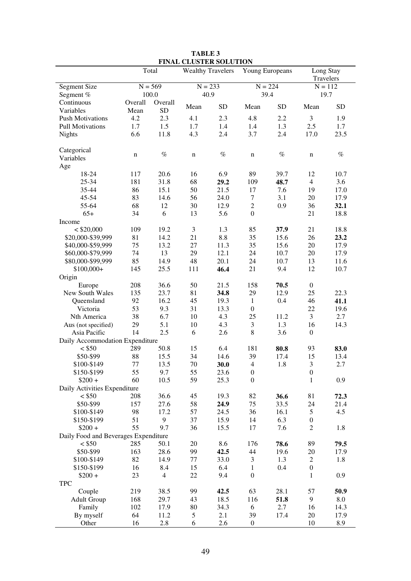|                                      |             | Total       | <b>Wealthy Travelers</b> |            | Young Europeans  |           | Long Stay<br>Travelers |             |
|--------------------------------------|-------------|-------------|--------------------------|------------|------------------|-----------|------------------------|-------------|
| <b>Segment Size</b>                  |             | $N = 569$   | $N = 233$                |            |                  | $N = 224$ |                        | $N = 112$   |
| Segment %                            |             | 100.0       | 40.9                     |            | 39.4             |           | 19.7                   |             |
| Continuous                           | Overall     | Overall     | Mean                     | <b>SD</b>  | Mean             | <b>SD</b> | Mean                   | <b>SD</b>   |
| Variables                            | Mean        | <b>SD</b>   |                          |            |                  |           |                        |             |
| <b>Push Motivations</b>              | 4.2         | 2.3         | 4.1                      | 2.3        | 4.8              | 2.2       | 3                      | 1.9         |
| <b>Pull Motivations</b>              | 1.7         | 1.5         | 1.7                      | 1.4        | 1.4              | 1.3       | 2.5                    | 1.7         |
| <b>Nights</b>                        | 6.6         | 11.8        | 4.3                      | 2.4        | 3.7              | 2.4       | 17.0                   | 23.5        |
| Categorical                          | $\mathbf n$ | $\%$        | $\mathbf n$              | $\%$       | n                | $\%$      | n                      | $\%$        |
| Variables                            |             |             |                          |            |                  |           |                        |             |
| Age                                  |             |             |                          |            |                  |           |                        |             |
| 18-24                                | 117         | 20.6        | 16                       | 6.9        | 89               | 39.7      | 12                     | 10.7        |
| 25-34                                | 181         | 31.8        | 68                       | 29.2       | 109              | 48.7      | $\overline{4}$         | 3.6         |
| 35-44                                | 86          | 15.1        | 50                       | 21.5       | 17               | 7.6       | 19                     | 17.0        |
| 45-54                                | 83          | 14.6        | 56                       | 24.0       | $\tau$           | 3.1       | 20                     | 17.9        |
| 55-64                                | 68          | 12          | 30                       | 12.9       | $\boldsymbol{2}$ | 0.9       | 36                     | 32.1        |
| $65+$                                | 34          | 6           | 13                       | 5.6        | $\boldsymbol{0}$ |           | 21                     | 18.8        |
| Income                               |             |             |                          |            |                  |           |                        |             |
| $<$ \$20,000                         | 109         | 19.2        | $\mathfrak{Z}$           | 1.3        | 85               | 37.9      | 21                     | 18.8        |
| \$20,000-\$39,999                    | 81          | 14.2        | 21                       | 8.8        | 35               | 15.6      | 26                     | 23.2        |
| \$40,000-\$59,999                    | 75          | 13.2        | 27                       | 11.3       | 35               | 15.6      | 20                     | 17.9        |
| \$60,000-\$79,999                    | 74          | 13          | 29                       | 12.1       | 24               | 10.7      | 20                     | 17.9        |
| \$80,000-\$99,999                    | 85          | 14.9        | 48                       | 20.1       | 24               | 10.7      | 13                     | 11.6        |
| $$100,000+$                          | 145         | 25.5        | 111                      | 46.4       | 21               | 9.4       | 12                     | 10.7        |
| Origin                               |             |             |                          |            |                  |           |                        |             |
| Europe                               | 208         | 36.6        | 50                       | 21.5       | 158              | 70.5      | $\boldsymbol{0}$       |             |
| New South Wales                      | 135         | 23.7        | 81                       | 34.8       | 29               | 12.9      | 25                     | 22.3        |
| Queensland                           | 92          | 16.2        | 45                       | 19.3       | $\mathbf{1}$     | 0.4       | 46                     | 41.1        |
| Victoria                             | 53          | 9.3         | 31                       | 13.3       | $\boldsymbol{0}$ |           | 22                     | 19.6        |
| Nth America                          | 38          | 6.7         | 10                       | 4.3        | 25               | 11.2      | 3                      | 2.7         |
| Aus (not specified)                  | 29          | 5.1         | 10                       | 4.3        | 3                | 1.3       | 16                     | 14.3        |
| Asia Pacific                         | 14          | 2.5         | 6                        | 2.6        | $\,$ 8 $\,$      | 3.6       | $\boldsymbol{0}$       |             |
| Daily Accommodation Expenditure      |             |             |                          |            |                  |           |                        |             |
| $<$ \$50                             | 289         | 50.8        | 15                       | 6.4        | 181              | 80.8      | 93                     | 83.0        |
| \$50-\$99                            | 88          | 15.5        | 34                       | 14.6       | 39               | 17.4      | 15                     | 13.4        |
| \$100-\$149                          | 77          | 13.5        | 70                       | 30.0       | $\overline{4}$   | 1.8       | $\mathfrak{Z}$         | 2.7         |
| \$150-\$199                          | 55          | 9.7         | 55                       | 23.6       | $\mathbf{0}$     |           | $\boldsymbol{0}$       |             |
| $$200 +$                             | 60          | 10.5        | 59                       | 25.3       | $\boldsymbol{0}$ |           | 1                      | 0.9         |
| Daily Activities Expenditure         |             |             |                          |            |                  |           |                        |             |
| < \$50                               | 208         | 36.6        | 45                       | 19.3       | 82               | 36.6      | 81                     | 72.3        |
| \$50-\$99                            | 157         | 27.6        | 58                       | 24.9       | 75               | 33.5      | 24                     | 21.4        |
| \$100-\$149                          | 98          | 17.2        | 57                       | 24.5       | 36               | 16.1      | 5                      | 4.5         |
| \$150-\$199                          | 51          | 9           | 37                       | 15.9       | 14               | 6.3       | $\boldsymbol{0}$       |             |
| $$200 +$                             | 55          | 9.7         | 36                       | 15.5       | 17               | 7.6       | $\mathbf{2}$           | 1.8         |
| Daily Food and Beverages Expenditure |             |             |                          |            |                  |           |                        |             |
| < \$50                               | 285         | 50.1        | 20                       | 8.6        | 176              | 78.6      | 89                     | 79.5        |
| \$50-\$99                            | 163         | 28.6        | 99                       | 42.5       | 44               | 19.6      | 20                     | 17.9        |
| \$100-\$149                          | 82          | 14.9        | 77                       | 33.0       | 3                | 1.3       | $\boldsymbol{2}$       | 1.8         |
| \$150-\$199                          | 16          | 8.4         | 15                       | 6.4        | 1                | 0.4       | $\boldsymbol{0}$       |             |
| $$200 +$                             | 23          | 4           | 22                       | 9.4        | $\mathbf{0}$     |           | $\mathbf{1}$           | 0.9         |
| <b>TPC</b>                           |             |             |                          |            |                  |           |                        |             |
| Couple                               | 219         | 38.5        | 99                       | 42.5       | 63               | 28.1      | 57                     | 50.9        |
| <b>Adult Group</b>                   | 168         | 29.7        | 43                       | 18.5       | 116              | 51.8      | $\overline{9}$         | 8.0         |
| Family                               | 102         | 17.9        | 80                       | 34.3       | 6                | 2.7       | 16                     | 14.3        |
| By myself                            |             |             |                          |            |                  |           |                        |             |
| Other                                | 64<br>16    | 11.2<br>2.8 | 5<br>6                   | 2.1<br>2.6 | 39               | 17.4      | 20<br>10               | 17.9<br>8.9 |

**TABLE 3 FINAL CLUSTER SOLUTION**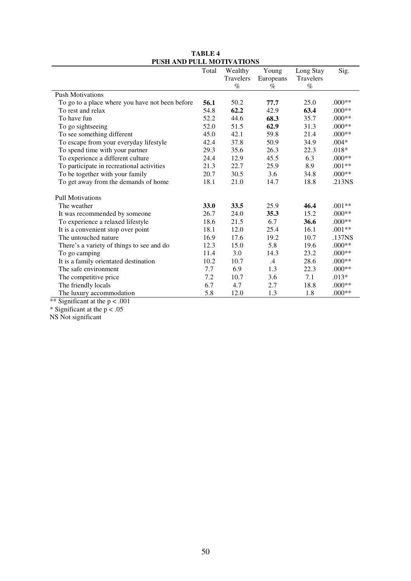| PUSH AND PULL MOTIVATIONS                       |       |           |           |           |          |
|-------------------------------------------------|-------|-----------|-----------|-----------|----------|
|                                                 | Total | Wealthy   | Young     | Long Stay | Sig.     |
|                                                 |       | Travelers | Europeans | Travelers |          |
|                                                 |       | $\%$      | $\%$      | $\%$      |          |
| <b>Push Motivations</b>                         |       |           |           |           |          |
| To go to a place where you have not been before | 56.1  | 50.2      | 77.7      | 25.0      | $.000**$ |
| To rest and relax                               | 54.8  | 62.2      | 42.9      | 63.4      | $.000**$ |
| To have fun                                     | 52.2  | 44.6      | 68.3      | 35.7      | $.000**$ |
| To go sightseeing                               | 52.0  | 51.5      | 62.9      | 31.3      | $.000**$ |
| To see something different                      | 45.0  | 42.1      | 59.8      | 21.4      | $.000**$ |
| To escape from your everyday lifestyle          | 42.4  | 37.8      | 50.9      | 34.9      | $.004*$  |
| To spend time with your partner                 | 29.3  | 35.6      | 26.3      | 22.3      | $.018*$  |
| To experience a different culture               | 24.4  | 12.9      | 45.5      | 6.3       | $.000**$ |
| To participate in recreational activities       | 21.3  | 22.7      | 25.9      | 8.9       | $.001**$ |
| To be together with your family                 | 20.7  | 30.5      | 3.6       | 34.8      | $.000**$ |
| To get away from the demands of home            | 18.1  | 21.0      | 14.7      | 18.8      | .213NS   |
|                                                 |       |           |           |           |          |
| <b>Pull Motivations</b>                         |       |           |           |           |          |
| The weather                                     | 33.0  | 33.5      | 25.9      | 46.4      | $.001**$ |
| It was recommended by someone                   | 26.7  | 24.0      | 35.3      | 15.2      | $.000**$ |
| To experience a relaxed lifestyle               | 18.6  | 21.5      | 6.7       | 36.6      | $.000**$ |
| It is a convenient stop over point              | 18.1  | 12.0      | 25.4      | 16.1      | $.001**$ |
| The untouched nature                            | 16.9  | 17.6      | 19.2      | 10.7      | .137NS   |
| There's a variety of things to see and do       | 12.3  | 15.0      | 5.8       | 19.6      | $.000**$ |
| To go camping                                   | 11.4  | 3.0       | 14.3      | 23.2      | $.000**$ |
| It is a family orientated destination           | 10.2  | 10.7      | $.4\,$    | 28.6      | $.000**$ |
| The safe environment                            | 7.7   | 6.9       | 1.3       | 22.3      | $.000**$ |
| The competitive price                           | 7.2   | 10.7      | 3.6       | 7.1       | $.013*$  |
| The friendly locals                             | 6.7   | 4.7       | 2.7       | 18.8      | $.000**$ |
| The luxury accommodation                        | 5.8   | 12.0      | 1.3       | 1.8       | $.000**$ |

## **TABLE 4 PUSH AND PULL MOTIVATIONS**

\*\* Significant at the p < .001

\* Significant at the p < .05

NS Not significant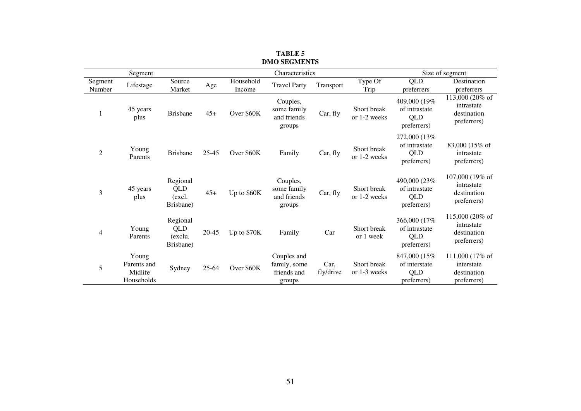| Segment           |                                               |                                               |           | Characteristics     |                                                      |                   |                             | Size of segment                                      |                                                             |  |
|-------------------|-----------------------------------------------|-----------------------------------------------|-----------|---------------------|------------------------------------------------------|-------------------|-----------------------------|------------------------------------------------------|-------------------------------------------------------------|--|
| Segment<br>Number | Lifestage                                     | Source<br>Market                              | Age       | Household<br>Income | <b>Travel Party</b>                                  | Transport         | Type Of<br>Trip             | QLD<br>preferrers                                    | Destination<br>preferrers                                   |  |
| 1                 | 45 years<br>plus                              | <b>Brisbane</b>                               | $45+$     | Over \$60K          | Couples,<br>some family<br>and friends<br>groups     | Car, fly          | Short break<br>or 1-2 weeks | 409,000 (19%)<br>of intrastate<br>QLD<br>preferrers) | 113,000 (20% of<br>intrastate<br>destination<br>preferrers) |  |
| $\overline{2}$    | Young<br>Parents                              | <b>Brisbane</b>                               | $25 - 45$ | Over \$60K          | Family                                               | Car, fly          | Short break<br>or 1-2 weeks | 272,000 (13%)<br>of intrastate<br>QLD<br>preferrers) | 83,000 (15% of<br>intrastate<br>preferrers)                 |  |
| 3                 | 45 years<br>plus                              | Regional<br><b>QLD</b><br>(excl.<br>Brisbane) | $45+$     | Up to \$60K         | Couples,<br>some family<br>and friends<br>groups     | Car, fly          | Short break<br>or 1-2 weeks | 490,000 (23%<br>of intrastate<br>QLD<br>preferrers)  | 107,000 (19% of<br>intrastate<br>destination<br>preferrers) |  |
| $\overline{4}$    | Young<br>Parents                              | Regional<br>QLD<br>(exclu.<br>Brisbane)       | $20 - 45$ | Up to \$70K         | Family                                               | Car               | Short break<br>or 1 week    | 366,000 (17%)<br>of intrastate<br>QLD<br>preferrers) | 115,000 (20% of<br>intrastate<br>destination<br>preferrers) |  |
| 5                 | Young<br>Parents and<br>Midlife<br>Households | Sydney                                        | $25 - 64$ | Over \$60K          | Couples and<br>family, some<br>friends and<br>groups | Car,<br>fly/drive | Short break<br>or 1-3 weeks | 847,000 (15%)<br>of interstate<br>QLD<br>preferrers) | 111,000 (17% of<br>interstate<br>destination<br>preferrers) |  |

**TABLE 5 DMO SEGMENTS**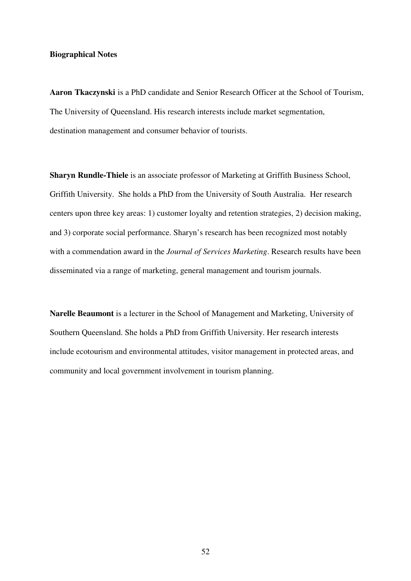## **Biographical Notes**

**Aaron Tkaczynski** is a PhD candidate and Senior Research Officer at the School of Tourism, The University of Queensland. His research interests include market segmentation, destination management and consumer behavior of tourists.

**Sharyn Rundle-Thiele** is an associate professor of Marketing at Griffith Business School, Griffith University. She holds a PhD from the University of South Australia. Her research centers upon three key areas: 1) customer loyalty and retention strategies, 2) decision making, and 3) corporate social performance. Sharyn's research has been recognized most notably with a commendation award in the *Journal of Services Marketing*. Research results have been disseminated via a range of marketing, general management and tourism journals.

**Narelle Beaumont** is a lecturer in the School of Management and Marketing, University of Southern Queensland. She holds a PhD from Griffith University. Her research interests include ecotourism and environmental attitudes, visitor management in protected areas, and community and local government involvement in tourism planning.